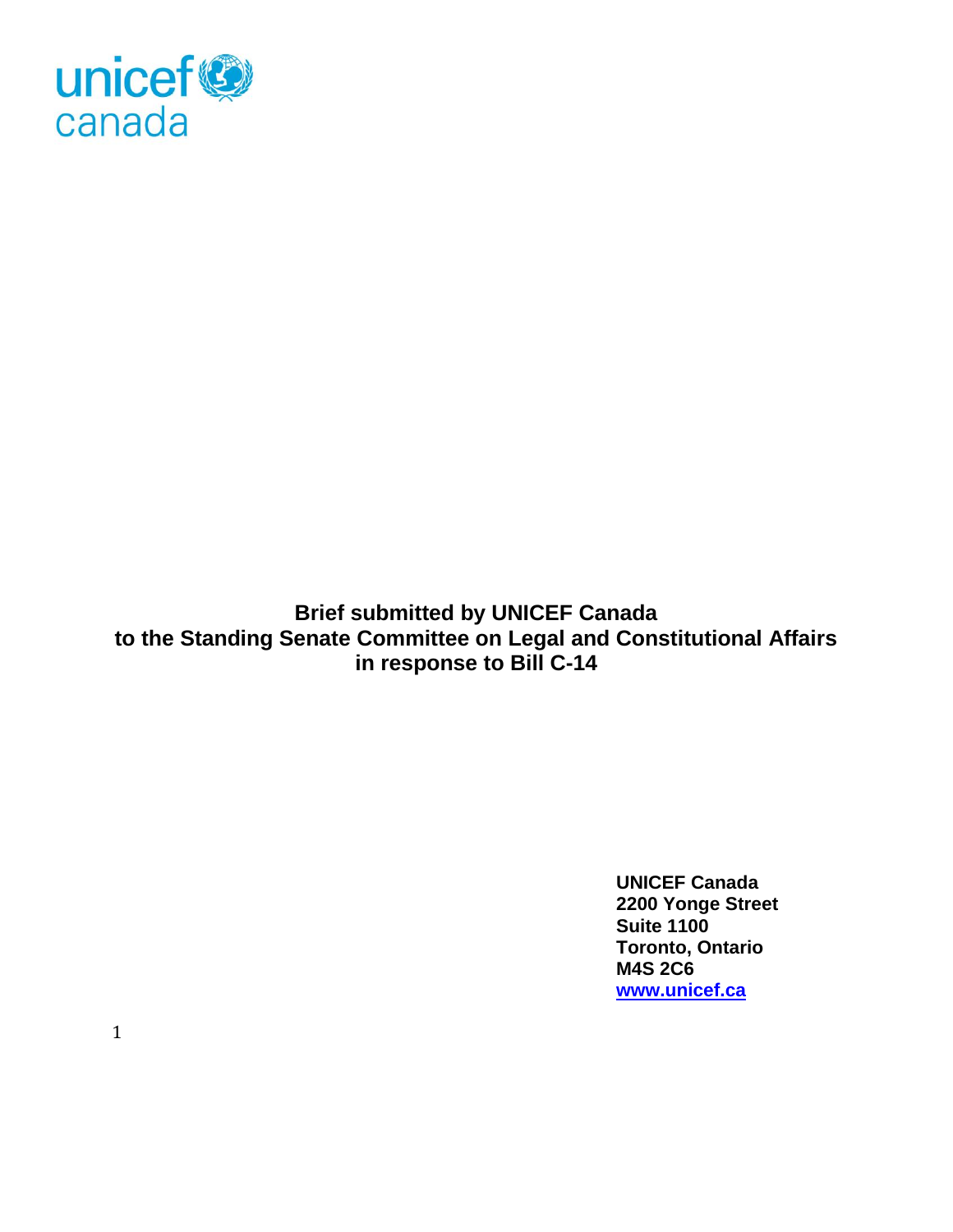

**Brief submitted by UNICEF Canada to the Standing Senate Committee on Legal and Constitutional Affairs in response to Bill C-14**

> **UNICEF Canada 2200 Yonge Street Suite 1100 Toronto, Ontario M4S 2C6 [www.unicef.ca](http://www.unicef.ca/)**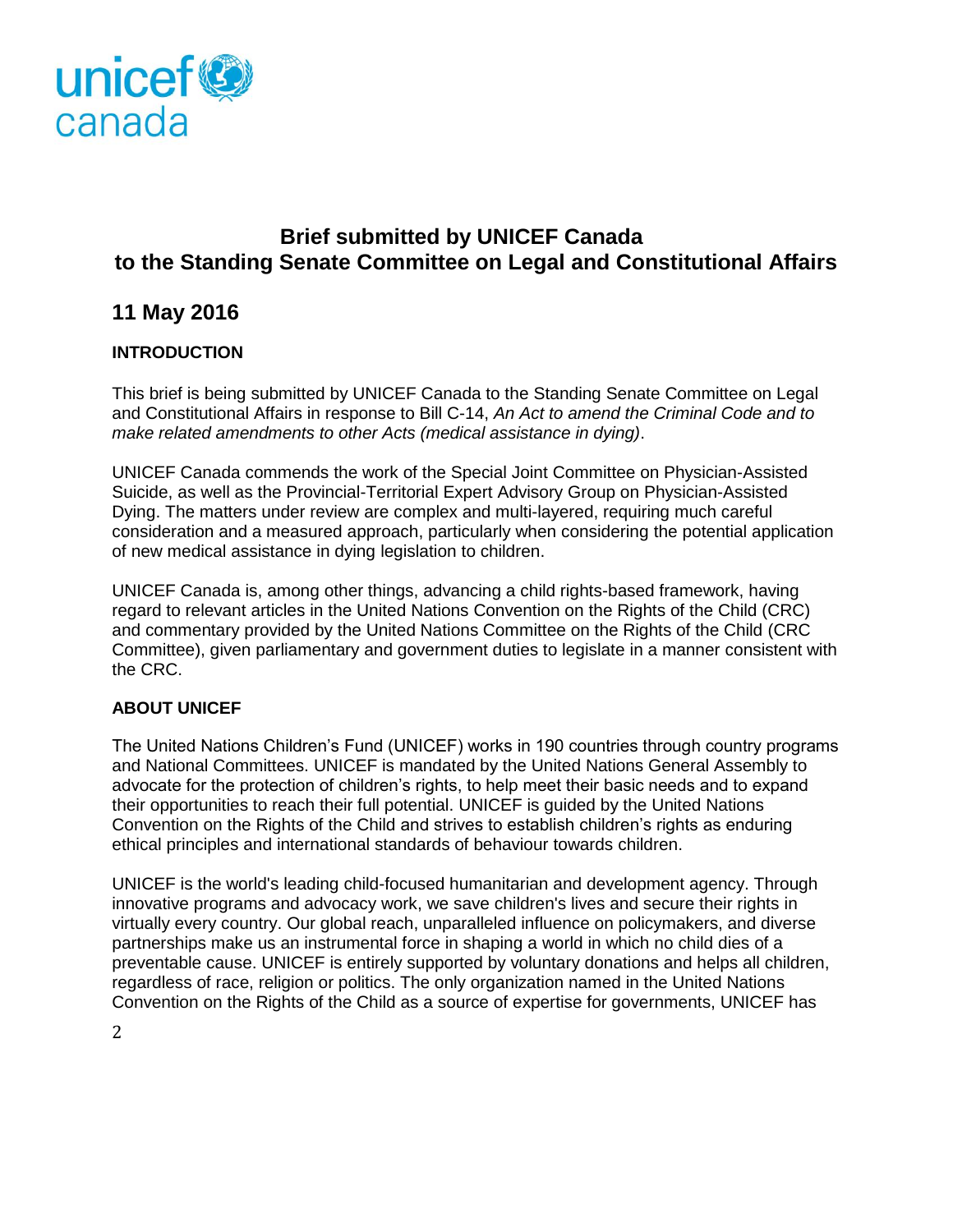

# **Brief submitted by UNICEF Canada to the Standing Senate Committee on Legal and Constitutional Affairs**

# **11 May 2016**

# **INTRODUCTION**

This brief is being submitted by UNICEF Canada to the Standing Senate Committee on Legal and Constitutional Affairs in response to Bill C-14, *An Act to amend the Criminal Code and to make related amendments to other Acts (medical assistance in dying)*.

UNICEF Canada commends the work of the Special Joint Committee on Physician-Assisted Suicide, as well as the Provincial-Territorial Expert Advisory Group on Physician-Assisted Dying. The matters under review are complex and multi-layered, requiring much careful consideration and a measured approach, particularly when considering the potential application of new medical assistance in dying legislation to children.

UNICEF Canada is, among other things, advancing a child rights-based framework, having regard to relevant articles in the United Nations Convention on the Rights of the Child (CRC) and commentary provided by the United Nations Committee on the Rights of the Child (CRC Committee), given parliamentary and government duties to legislate in a manner consistent with the CRC.

## **ABOUT UNICEF**

The United Nations Children's Fund (UNICEF) works in 190 countries through country programs and National Committees. UNICEF is mandated by the United Nations General Assembly to advocate for the protection of children's rights, to help meet their basic needs and to expand their opportunities to reach their full potential. UNICEF is guided by the United Nations Convention on the Rights of the Child and strives to establish children's rights as enduring ethical principles and international standards of behaviour towards children.

UNICEF is the world's leading child-focused humanitarian and development agency. Through innovative programs and advocacy work, we save children's lives and secure their rights in virtually every country. Our global reach, unparalleled influence on policymakers, and diverse partnerships make us an instrumental force in shaping a world in which no child dies of a preventable cause. UNICEF is entirely supported by voluntary donations and helps all children, regardless of race, religion or politics. The only organization named in the United Nations Convention on the Rights of the Child as a source of expertise for governments, UNICEF has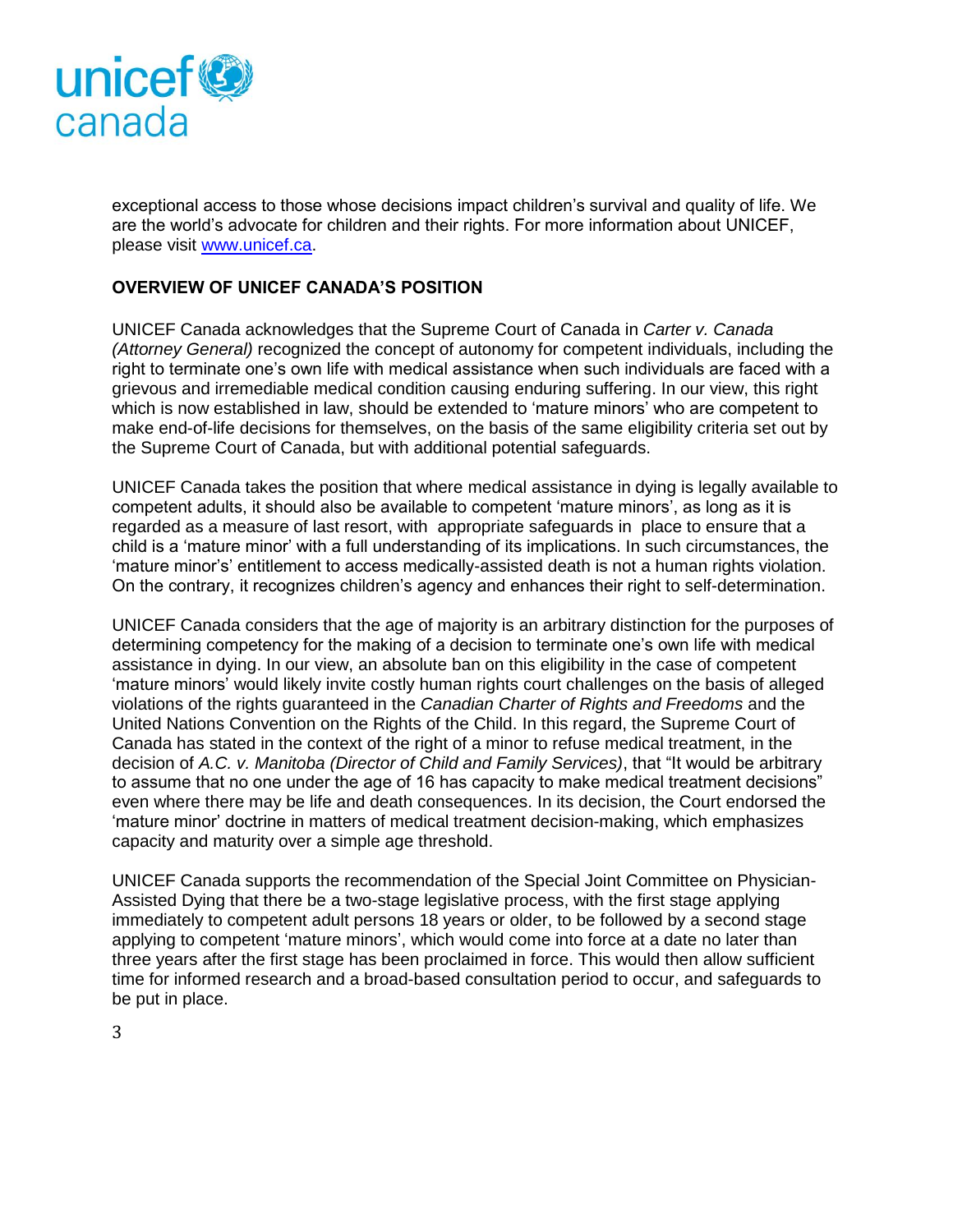

exceptional access to those whose decisions impact children's survival and quality of life. We are the world's advocate for children and their rights. For more information about UNICEF, please visit [www.unicef.ca.](http://www.unicef.ca/)

## **OVERVIEW OF UNICEF CANADA'S POSITION**

UNICEF Canada acknowledges that the Supreme Court of Canada in *Carter v. Canada (Attorney General)* recognized the concept of autonomy for competent individuals, including the right to terminate one's own life with medical assistance when such individuals are faced with a grievous and irremediable medical condition causing enduring suffering. In our view, this right which is now established in law, should be extended to 'mature minors' who are competent to make end-of-life decisions for themselves, on the basis of the same eligibility criteria set out by the Supreme Court of Canada, but with additional potential safeguards.

UNICEF Canada takes the position that where medical assistance in dying is legally available to competent adults, it should also be available to competent 'mature minors', as long as it is regarded as a measure of last resort, with appropriate safeguards in place to ensure that a child is a 'mature minor' with a full understanding of its implications. In such circumstances, the 'mature minor's' entitlement to access medically-assisted death is not a human rights violation. On the contrary, it recognizes children's agency and enhances their right to self-determination.

UNICEF Canada considers that the age of majority is an arbitrary distinction for the purposes of determining competency for the making of a decision to terminate one's own life with medical assistance in dying. In our view, an absolute ban on this eligibility in the case of competent 'mature minors' would likely invite costly human rights court challenges on the basis of alleged violations of the rights guaranteed in the *Canadian Charter of Rights and Freedoms* and the United Nations Convention on the Rights of the Child. In this regard, the Supreme Court of Canada has stated in the context of the right of a minor to refuse medical treatment, in the decision of *A.C. v. Manitoba (Director of Child and Family Services)*, that "It would be arbitrary to assume that no one under the age of 16 has capacity to make medical treatment decisions" even where there may be life and death consequences. In its decision, the Court endorsed the 'mature minor' doctrine in matters of medical treatment decision-making, which emphasizes capacity and maturity over a simple age threshold.

UNICEF Canada supports the recommendation of the Special Joint Committee on Physician-Assisted Dying that there be a two-stage legislative process, with the first stage applying immediately to competent adult persons 18 years or older, to be followed by a second stage applying to competent 'mature minors', which would come into force at a date no later than three years after the first stage has been proclaimed in force. This would then allow sufficient time for informed research and a broad-based consultation period to occur, and safeguards to be put in place.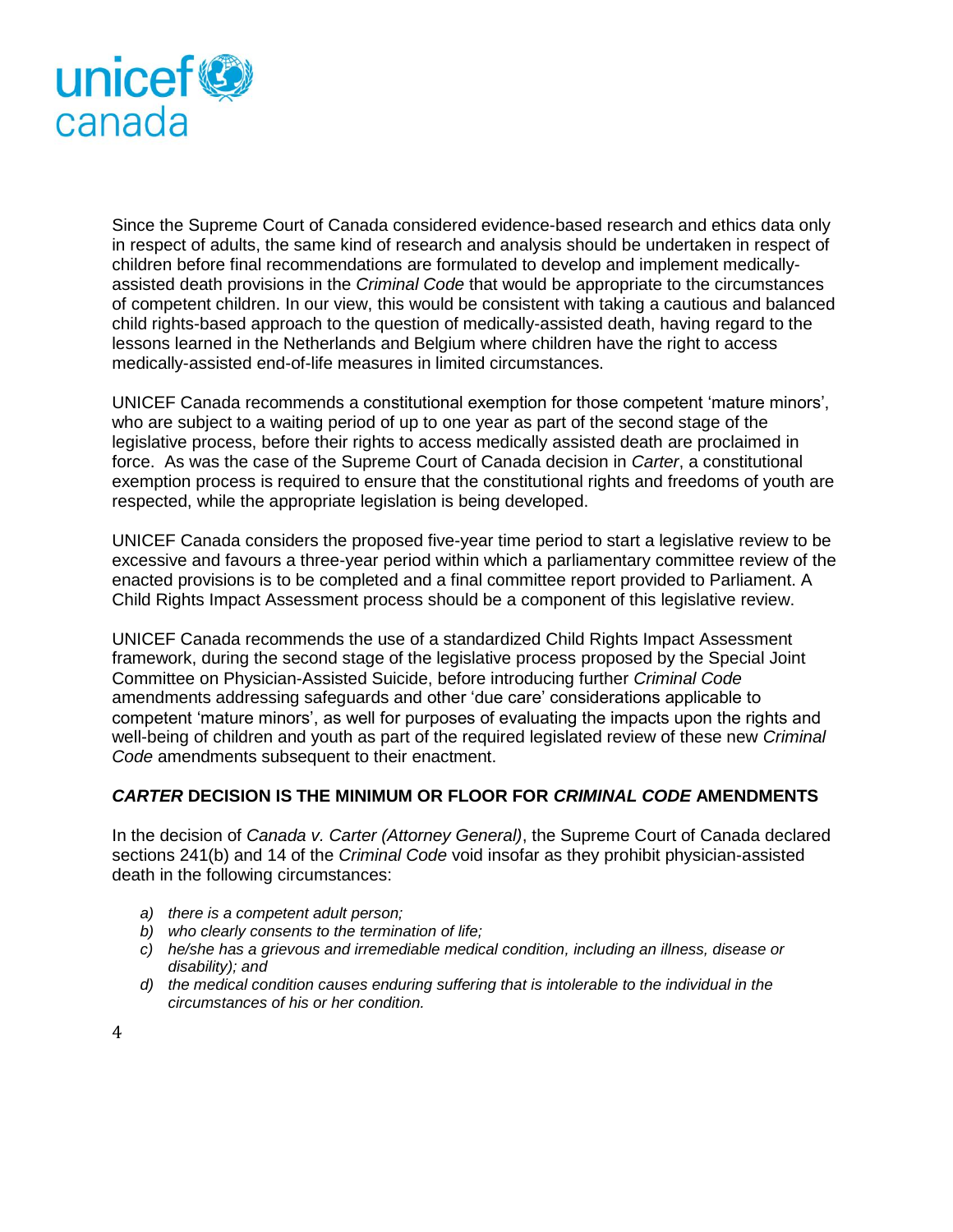

Since the Supreme Court of Canada considered evidence-based research and ethics data only in respect of adults, the same kind of research and analysis should be undertaken in respect of children before final recommendations are formulated to develop and implement medicallyassisted death provisions in the *Criminal Code* that would be appropriate to the circumstances of competent children. In our view, this would be consistent with taking a cautious and balanced child rights-based approach to the question of medically-assisted death, having regard to the lessons learned in the Netherlands and Belgium where children have the right to access medically-assisted end-of-life measures in limited circumstances.

UNICEF Canada recommends a constitutional exemption for those competent 'mature minors', who are subject to a waiting period of up to one year as part of the second stage of the legislative process, before their rights to access medically assisted death are proclaimed in force. As was the case of the Supreme Court of Canada decision in *Carter*, a constitutional exemption process is required to ensure that the constitutional rights and freedoms of youth are respected, while the appropriate legislation is being developed.

UNICEF Canada considers the proposed five-year time period to start a legislative review to be excessive and favours a three-year period within which a parliamentary committee review of the enacted provisions is to be completed and a final committee report provided to Parliament. A Child Rights Impact Assessment process should be a component of this legislative review.

UNICEF Canada recommends the use of a standardized Child Rights Impact Assessment framework, during the second stage of the legislative process proposed by the Special Joint Committee on Physician-Assisted Suicide, before introducing further *Criminal Code* amendments addressing safeguards and other 'due care' considerations applicable to competent 'mature minors', as well for purposes of evaluating the impacts upon the rights and well-being of children and youth as part of the required legislated review of these new *Criminal Code* amendments subsequent to their enactment.

### *CARTER* **DECISION IS THE MINIMUM OR FLOOR FOR** *CRIMINAL CODE* **AMENDMENTS**

In the decision of *Canada v. Carter (Attorney General)*, the Supreme Court of Canada declared sections 241(b) and 14 of the *Criminal Code* void insofar as they prohibit physician-assisted death in the following circumstances:

- *a) there is a competent adult person;*
- *b) who clearly consents to the termination of life;*
- *c) he/she has a grievous and irremediable medical condition, including an illness, disease or disability); and*
- *d) the medical condition causes enduring suffering that is intolerable to the individual in the circumstances of his or her condition.*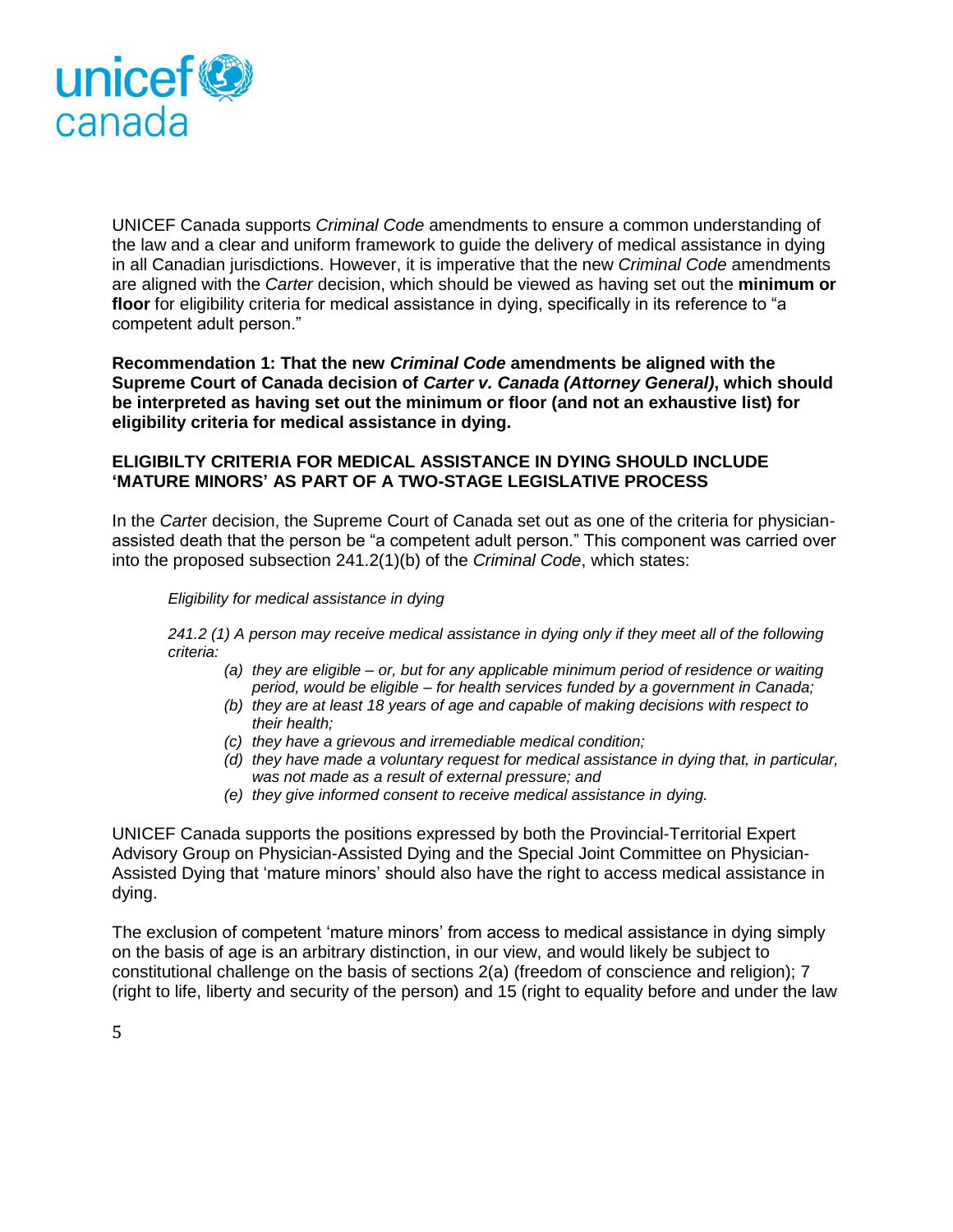

UNICEF Canada supports *Criminal Code* amendments to ensure a common understanding of the law and a clear and uniform framework to guide the delivery of medical assistance in dying in all Canadian jurisdictions. However, it is imperative that the new *Criminal Code* amendments are aligned with the *Carter* decision, which should be viewed as having set out the **minimum or floor** for eligibility criteria for medical assistance in dying, specifically in its reference to "a competent adult person."

**Recommendation 1: That the new** *Criminal Code* **amendments be aligned with the Supreme Court of Canada decision of** *Carter v. Canada (Attorney General)***, which should be interpreted as having set out the minimum or floor (and not an exhaustive list) for eligibility criteria for medical assistance in dying.** 

## **ELIGIBILTY CRITERIA FOR MEDICAL ASSISTANCE IN DYING SHOULD INCLUDE 'MATURE MINORS' AS PART OF A TWO-STAGE LEGISLATIVE PROCESS**

In the *Carte*r decision, the Supreme Court of Canada set out as one of the criteria for physicianassisted death that the person be "a competent adult person." This component was carried over into the proposed subsection 241.2(1)(b) of the *Criminal Code*, which states:

#### *Eligibility for medical assistance in dying*

*241.2 (1) A person may receive medical assistance in dying only if they meet all of the following criteria:*

- *(a) they are eligible – or, but for any applicable minimum period of residence or waiting period, would be eligible – for health services funded by a government in Canada;*
- *(b) they are at least 18 years of age and capable of making decisions with respect to their health;*
- *(c) they have a grievous and irremediable medical condition;*
- *(d) they have made a voluntary request for medical assistance in dying that, in particular, was not made as a result of external pressure; and*
- *(e) they give informed consent to receive medical assistance in dying.*

UNICEF Canada supports the positions expressed by both the Provincial-Territorial Expert Advisory Group on Physician-Assisted Dying and the Special Joint Committee on Physician-Assisted Dying that 'mature minors' should also have the right to access medical assistance in dying.

The exclusion of competent 'mature minors' from access to medical assistance in dying simply on the basis of age is an arbitrary distinction, in our view, and would likely be subject to constitutional challenge on the basis of sections 2(a) (freedom of conscience and religion); 7 (right to life, liberty and security of the person) and 15 (right to equality before and under the law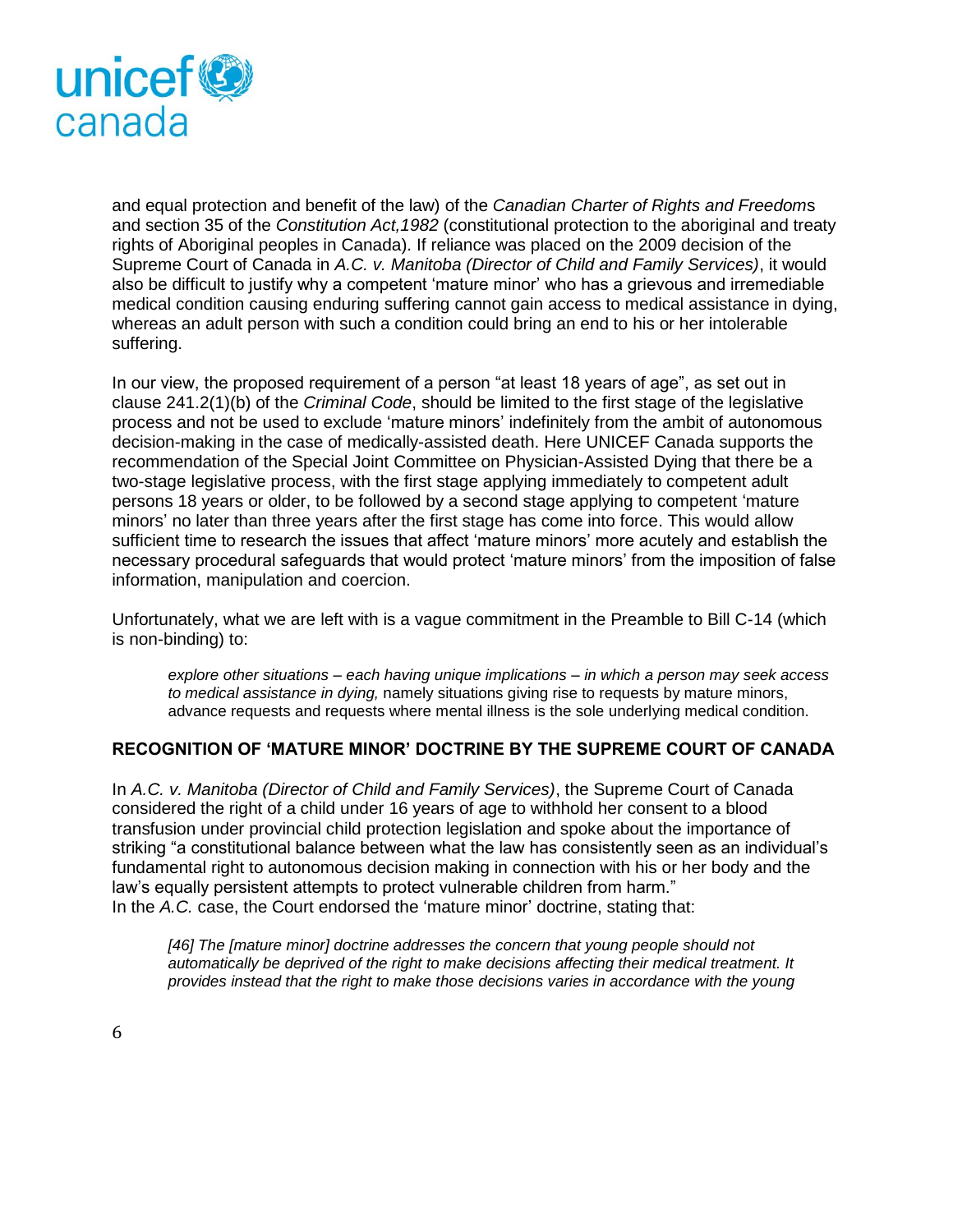

and equal protection and benefit of the law) of the *Canadian Charter of Rights and Freedom*s and section 35 of the *Constitution Act,1982* (constitutional protection to the aboriginal and treaty rights of Aboriginal peoples in Canada). If reliance was placed on the 2009 decision of the Supreme Court of Canada in *A.C. v. Manitoba (Director of Child and Family Services)*, it would also be difficult to justify why a competent 'mature minor' who has a grievous and irremediable medical condition causing enduring suffering cannot gain access to medical assistance in dying, whereas an adult person with such a condition could bring an end to his or her intolerable suffering.

In our view, the proposed requirement of a person "at least 18 years of age", as set out in clause 241.2(1)(b) of the *Criminal Code*, should be limited to the first stage of the legislative process and not be used to exclude 'mature minors' indefinitely from the ambit of autonomous decision-making in the case of medically-assisted death. Here UNICEF Canada supports the recommendation of the Special Joint Committee on Physician-Assisted Dying that there be a two-stage legislative process, with the first stage applying immediately to competent adult persons 18 years or older, to be followed by a second stage applying to competent 'mature minors' no later than three years after the first stage has come into force. This would allow sufficient time to research the issues that affect 'mature minors' more acutely and establish the necessary procedural safeguards that would protect 'mature minors' from the imposition of false information, manipulation and coercion.

Unfortunately, what we are left with is a vague commitment in the Preamble to Bill C-14 (which is non-binding) to:

*explore other situations – each having unique implications – in which a person may seek access to medical assistance in dying,* namely situations giving rise to requests by mature minors, advance requests and requests where mental illness is the sole underlying medical condition.

#### **RECOGNITION OF 'MATURE MINOR' DOCTRINE BY THE SUPREME COURT OF CANADA**

In *A.C. v. Manitoba (Director of Child and Family Services)*, the Supreme Court of Canada considered the right of a child under 16 years of age to withhold her consent to a blood transfusion under provincial child protection legislation and spoke about the importance of striking "a constitutional balance between what the law has consistently seen as an individual's fundamental right to autonomous decision making in connection with his or her body and the law's equally persistent attempts to protect vulnerable children from harm." In the *A.C.* case, the Court endorsed the 'mature minor' doctrine, stating that:

[46] The [mature minor] doctrine addresses the concern that young people should not *automatically be deprived of the right to make decisions affecting their medical treatment. It provides instead that the right to make those decisions varies in accordance with the young*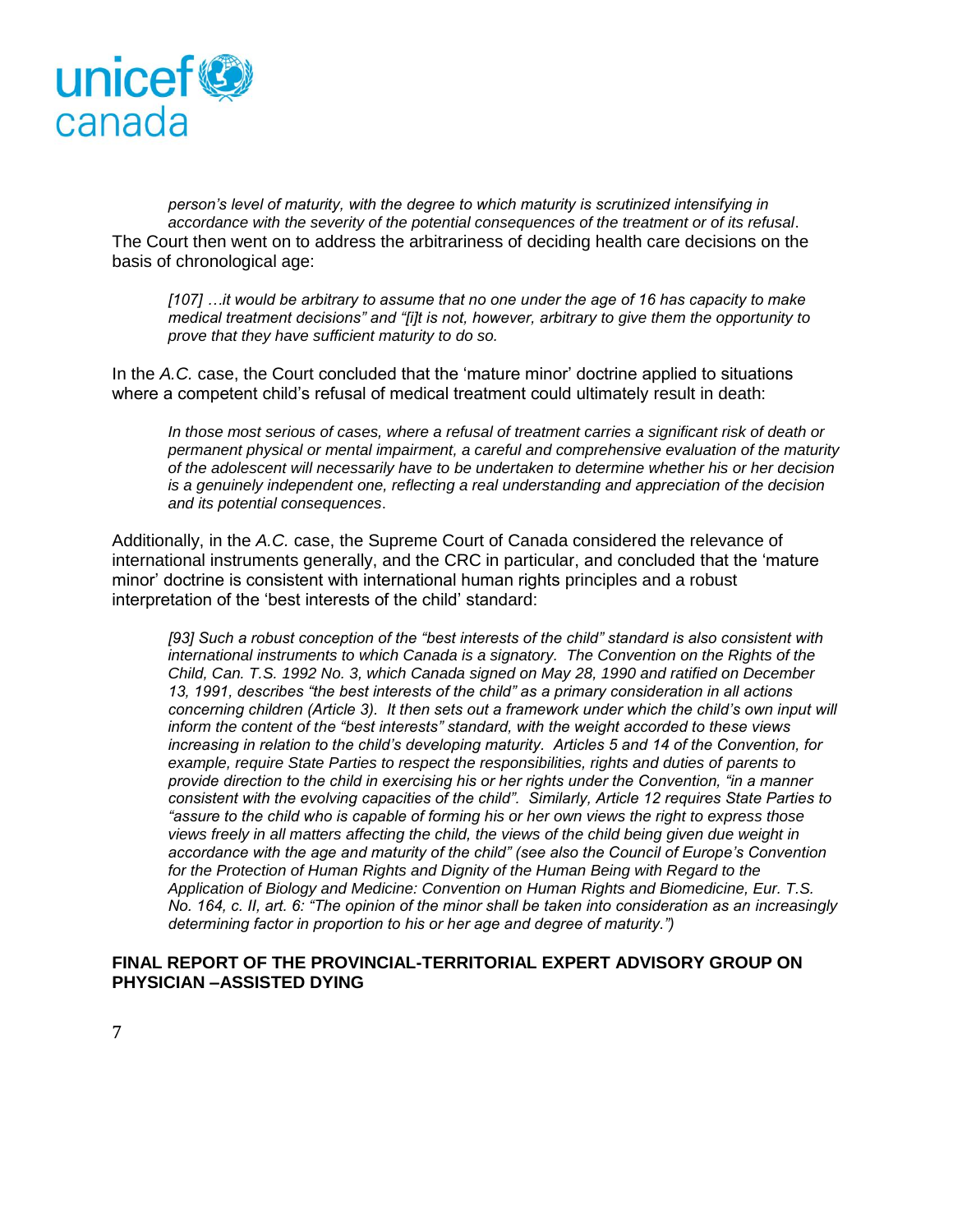

*person's level of maturity, with the degree to which maturity is scrutinized intensifying in accordance with the severity of the potential consequences of the treatment or of its refusal*. The Court then went on to address the arbitrariness of deciding health care decisions on the basis of chronological age:

*[107] …it would be arbitrary to assume that no one under the age of 16 has capacity to make medical treatment decisions" and "[i]t is not, however, arbitrary to give them the opportunity to prove that they have sufficient maturity to do so.*

In the *A.C.* case, the Court concluded that the 'mature minor' doctrine applied to situations where a competent child's refusal of medical treatment could ultimately result in death:

*In those most serious of cases, where a refusal of treatment carries a significant risk of death or permanent physical or mental impairment, a careful and comprehensive evaluation of the maturity of the adolescent will necessarily have to be undertaken to determine whether his or her decision is a genuinely independent one, reflecting a real understanding and appreciation of the decision and its potential consequences*.

Additionally, in the *A.C.* case, the Supreme Court of Canada considered the relevance of international instruments generally, and the CRC in particular, and concluded that the 'mature minor' doctrine is consistent with international human rights principles and a robust interpretation of the 'best interests of the child' standard:

*[93] Such a robust conception of the "best interests of the child" standard is also consistent with international instruments to which Canada is a signatory. The Convention on the Rights of the Child, Can. T.S. 1992 No. 3, which Canada signed on May 28, 1990 and ratified on December 13, 1991, describes "the best interests of the child" as a primary consideration in all actions concerning children (Article 3). It then sets out a framework under which the child's own input will inform the content of the "best interests" standard, with the weight accorded to these views increasing in relation to the child's developing maturity. Articles 5 and 14 of the Convention, for example, require State Parties to respect the responsibilities, rights and duties of parents to provide direction to the child in exercising his or her rights under the Convention, "in a manner consistent with the evolving capacities of the child". Similarly, Article 12 requires State Parties to "assure to the child who is capable of forming his or her own views the right to express those views freely in all matters affecting the child, the views of the child being given due weight in accordance with the age and maturity of the child" (see also the Council of Europe's Convention*  for the Protection of Human Rights and Dignity of the Human Being with Regard to the *Application of Biology and Medicine: Convention on Human Rights and Biomedicine, Eur. T.S. No. 164, c. II, art. 6: "The opinion of the minor shall be taken into consideration as an increasingly determining factor in proportion to his or her age and degree of maturity.")*

### **FINAL REPORT OF THE PROVINCIAL-TERRITORIAL EXPERT ADVISORY GROUP ON PHYSICIAN –ASSISTED DYING**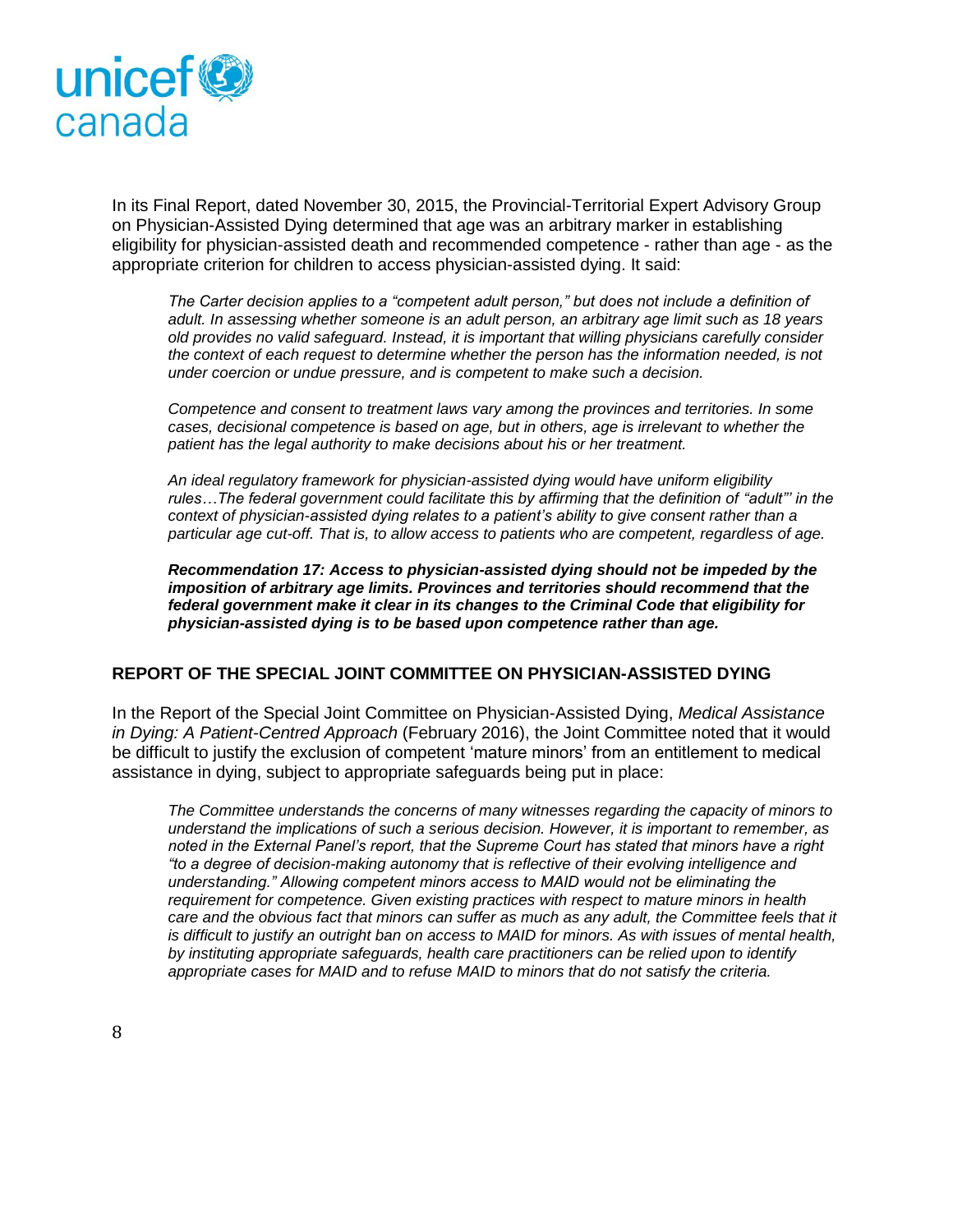

In its Final Report, dated November 30, 2015, the Provincial-Territorial Expert Advisory Group on Physician-Assisted Dying determined that age was an arbitrary marker in establishing eligibility for physician-assisted death and recommended competence - rather than age - as the appropriate criterion for children to access physician-assisted dying. It said:

*The Carter decision applies to a "competent adult person," but does not include a definition of adult. In assessing whether someone is an adult person, an arbitrary age limit such as 18 years old provides no valid safeguard. Instead, it is important that willing physicians carefully consider the context of each request to determine whether the person has the information needed, is not under coercion or undue pressure, and is competent to make such a decision.*

*Competence and consent to treatment laws vary among the provinces and territories. In some cases, decisional competence is based on age, but in others, age is irrelevant to whether the patient has the legal authority to make decisions about his or her treatment.*

*An ideal regulatory framework for physician-assisted dying would have uniform eligibility rules…The federal government could facilitate this by affirming that the definition of "adult"' in the context of physician-assisted dying relates to a patient's ability to give consent rather than a particular age cut-off. That is, to allow access to patients who are competent, regardless of age.*

*Recommendation 17: Access to physician-assisted dying should not be impeded by the imposition of arbitrary age limits. Provinces and territories should recommend that the federal government make it clear in its changes to the Criminal Code that eligibility for physician-assisted dying is to be based upon competence rather than age.*

#### **REPORT OF THE SPECIAL JOINT COMMITTEE ON PHYSICIAN-ASSISTED DYING**

In the Report of the Special Joint Committee on Physician-Assisted Dying, *Medical Assistance in Dying: A Patient-Centred Approach* (February 2016), the Joint Committee noted that it would be difficult to justify the exclusion of competent 'mature minors' from an entitlement to medical assistance in dying, subject to appropriate safeguards being put in place:

*The Committee understands the concerns of many witnesses regarding the capacity of minors to understand the implications of such a serious decision. However, it is important to remember, as noted in the External Panel's report, that the Supreme Court has stated that minors have a right "to a degree of decision-making autonomy that is reflective of their evolving intelligence and understanding." Allowing competent minors access to MAID would not be eliminating the requirement for competence. Given existing practices with respect to mature minors in health*  care and the obvious fact that minors can suffer as much as any adult, the Committee feels that it *is difficult to justify an outright ban on access to MAID for minors. As with issues of mental health, by instituting appropriate safeguards, health care practitioners can be relied upon to identify appropriate cases for MAID and to refuse MAID to minors that do not satisfy the criteria.*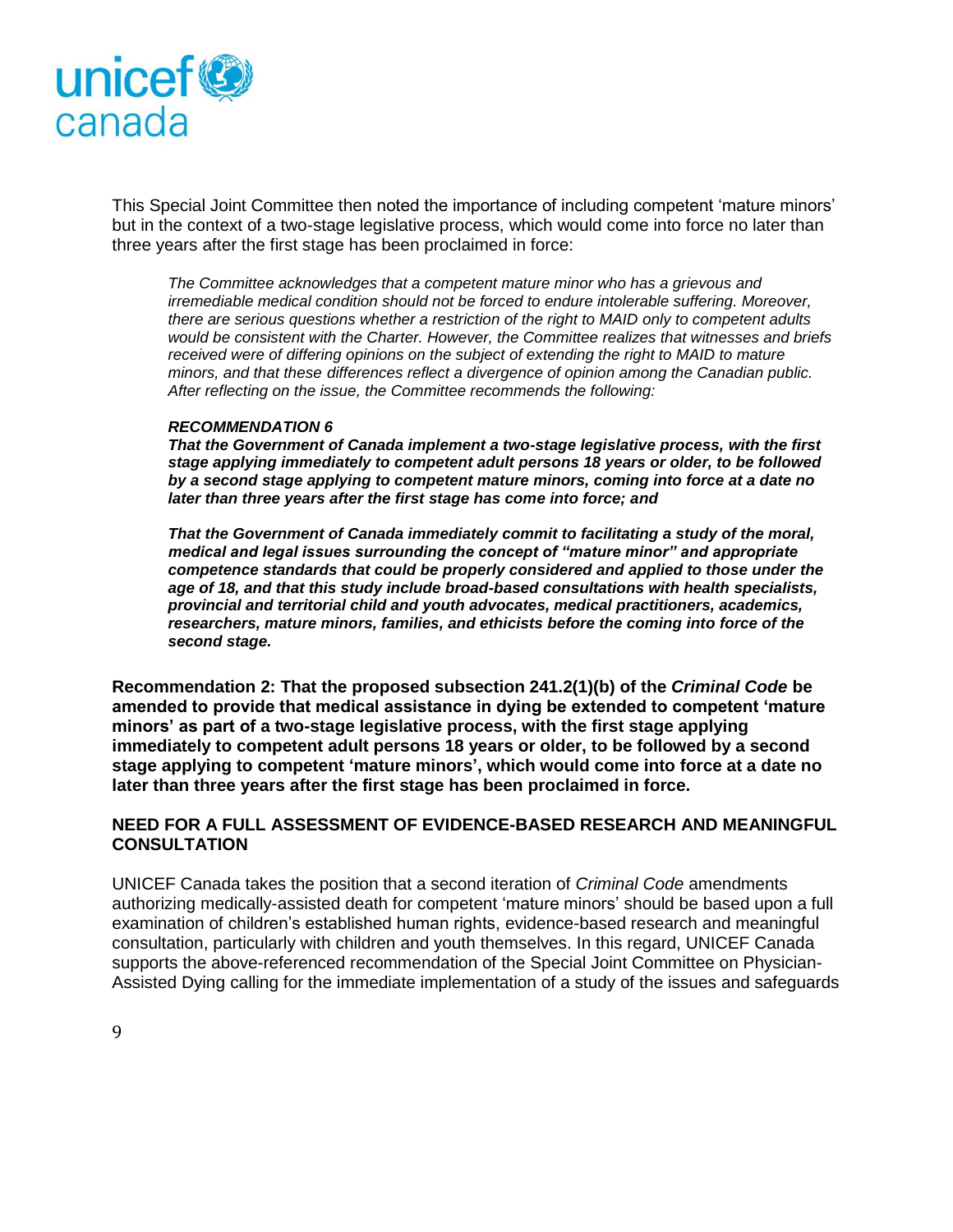

This Special Joint Committee then noted the importance of including competent 'mature minors' but in the context of a two-stage legislative process, which would come into force no later than three years after the first stage has been proclaimed in force:

*The Committee acknowledges that a competent mature minor who has a grievous and irremediable medical condition should not be forced to endure intolerable suffering. Moreover, there are serious questions whether a restriction of the right to MAID only to competent adults would be consistent with the Charter. However, the Committee realizes that witnesses and briefs received were of differing opinions on the subject of extending the right to MAID to mature minors, and that these differences reflect a divergence of opinion among the Canadian public. After reflecting on the issue, the Committee recommends the following:* 

#### *RECOMMENDATION 6*

*That the Government of Canada implement a two-stage legislative process, with the first stage applying immediately to competent adult persons 18 years or older, to be followed by a second stage applying to competent mature minors, coming into force at a date no later than three years after the first stage has come into force; and* 

*That the Government of Canada immediately commit to facilitating a study of the moral, medical and legal issues surrounding the concept of "mature minor" and appropriate competence standards that could be properly considered and applied to those under the age of 18, and that this study include broad-based consultations with health specialists, provincial and territorial child and youth advocates, medical practitioners, academics, researchers, mature minors, families, and ethicists before the coming into force of the second stage.*

**Recommendation 2: That the proposed subsection 241.2(1)(b) of the** *Criminal Code* **be amended to provide that medical assistance in dying be extended to competent 'mature minors' as part of a two-stage legislative process, with the first stage applying immediately to competent adult persons 18 years or older, to be followed by a second stage applying to competent 'mature minors', which would come into force at a date no later than three years after the first stage has been proclaimed in force.**

#### **NEED FOR A FULL ASSESSMENT OF EVIDENCE-BASED RESEARCH AND MEANINGFUL CONSULTATION**

UNICEF Canada takes the position that a second iteration of *Criminal Code* amendments authorizing medically-assisted death for competent 'mature minors' should be based upon a full examination of children's established human rights, evidence-based research and meaningful consultation, particularly with children and youth themselves. In this regard, UNICEF Canada supports the above-referenced recommendation of the Special Joint Committee on Physician-Assisted Dying calling for the immediate implementation of a study of the issues and safeguards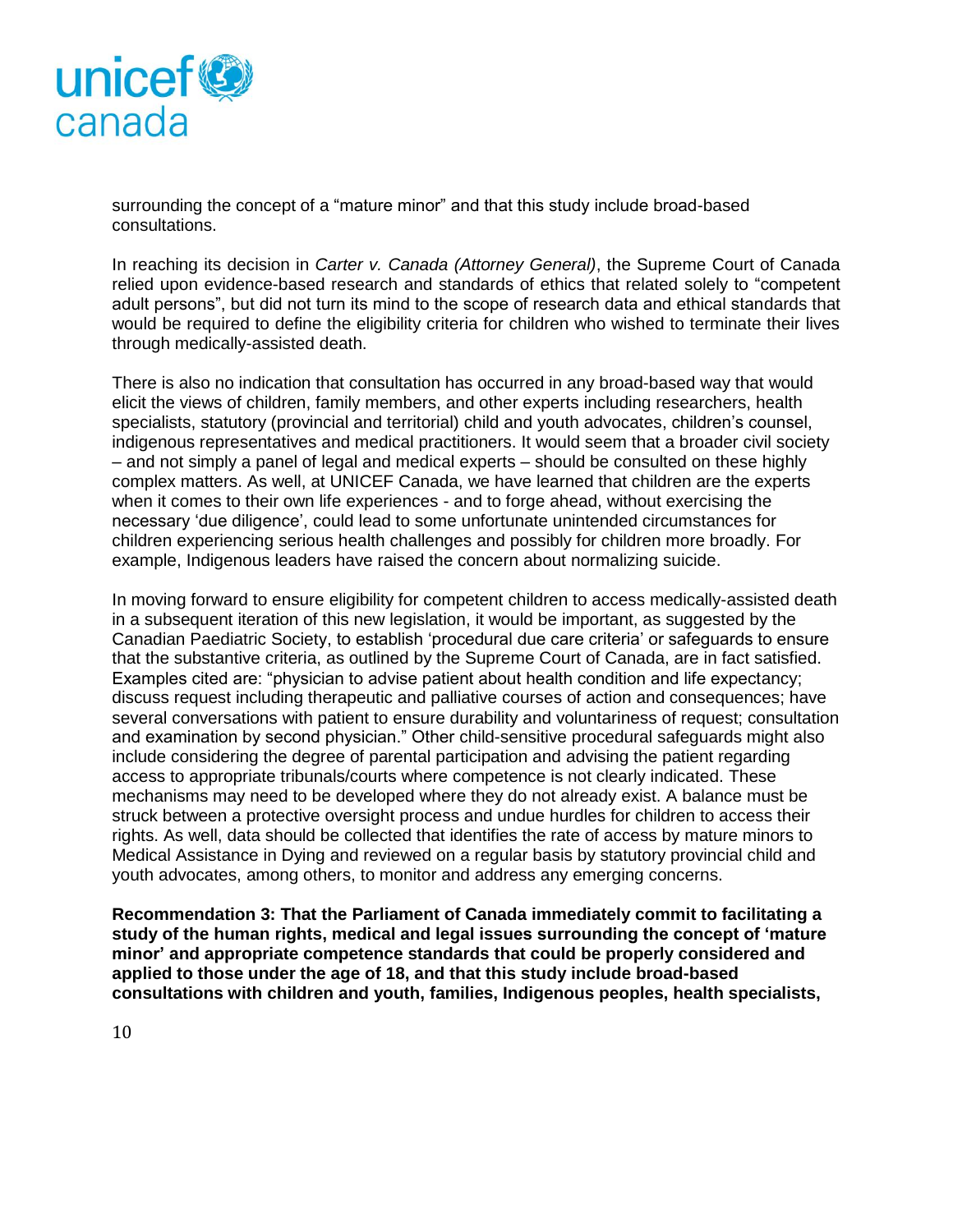

surrounding the concept of a "mature minor" and that this study include broad-based consultations.

In reaching its decision in *Carter v. Canada (Attorney General)*, the Supreme Court of Canada relied upon evidence-based research and standards of ethics that related solely to "competent adult persons", but did not turn its mind to the scope of research data and ethical standards that would be required to define the eligibility criteria for children who wished to terminate their lives through medically-assisted death.

There is also no indication that consultation has occurred in any broad-based way that would elicit the views of children, family members, and other experts including researchers, health specialists, statutory (provincial and territorial) child and youth advocates, children's counsel, indigenous representatives and medical practitioners. It would seem that a broader civil society – and not simply a panel of legal and medical experts – should be consulted on these highly complex matters. As well, at UNICEF Canada, we have learned that children are the experts when it comes to their own life experiences - and to forge ahead, without exercising the necessary 'due diligence', could lead to some unfortunate unintended circumstances for children experiencing serious health challenges and possibly for children more broadly. For example, Indigenous leaders have raised the concern about normalizing suicide.

In moving forward to ensure eligibility for competent children to access medically-assisted death in a subsequent iteration of this new legislation, it would be important, as suggested by the Canadian Paediatric Society, to establish 'procedural due care criteria' or safeguards to ensure that the substantive criteria, as outlined by the Supreme Court of Canada, are in fact satisfied. Examples cited are: "physician to advise patient about health condition and life expectancy; discuss request including therapeutic and palliative courses of action and consequences; have several conversations with patient to ensure durability and voluntariness of request; consultation and examination by second physician." Other child-sensitive procedural safeguards might also include considering the degree of parental participation and advising the patient regarding access to appropriate tribunals/courts where competence is not clearly indicated. These mechanisms may need to be developed where they do not already exist. A balance must be struck between a protective oversight process and undue hurdles for children to access their rights. As well, data should be collected that identifies the rate of access by mature minors to Medical Assistance in Dying and reviewed on a regular basis by statutory provincial child and youth advocates, among others, to monitor and address any emerging concerns.

**Recommendation 3: That the Parliament of Canada immediately commit to facilitating a study of the human rights, medical and legal issues surrounding the concept of 'mature minor' and appropriate competence standards that could be properly considered and applied to those under the age of 18, and that this study include broad-based consultations with children and youth, families, Indigenous peoples, health specialists,**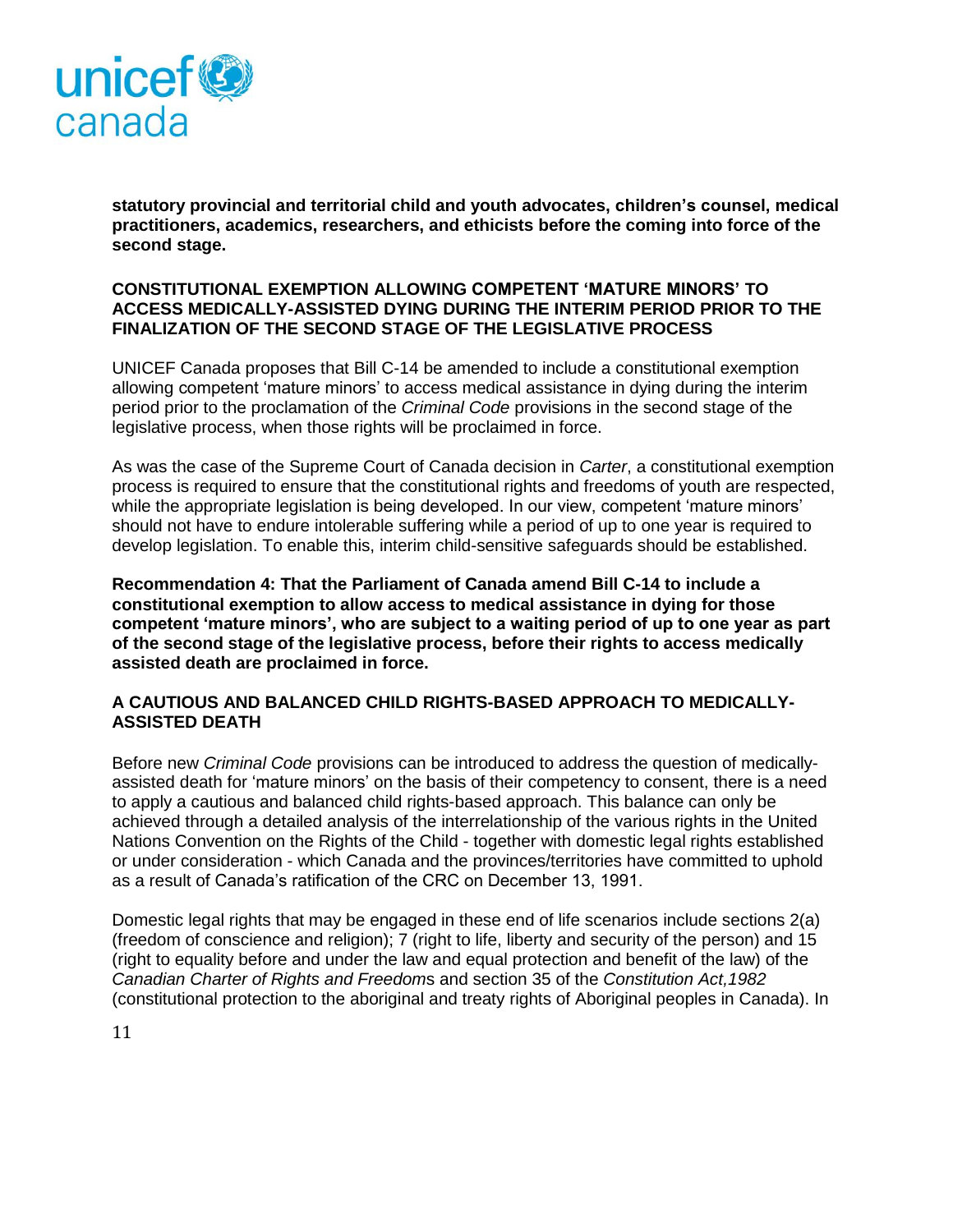

**statutory provincial and territorial child and youth advocates, children's counsel, medical practitioners, academics, researchers, and ethicists before the coming into force of the second stage.**

## **CONSTITUTIONAL EXEMPTION ALLOWING COMPETENT 'MATURE MINORS' TO ACCESS MEDICALLY-ASSISTED DYING DURING THE INTERIM PERIOD PRIOR TO THE FINALIZATION OF THE SECOND STAGE OF THE LEGISLATIVE PROCESS**

UNICEF Canada proposes that Bill C-14 be amended to include a constitutional exemption allowing competent 'mature minors' to access medical assistance in dying during the interim period prior to the proclamation of the *Criminal Code* provisions in the second stage of the legislative process, when those rights will be proclaimed in force.

As was the case of the Supreme Court of Canada decision in *Carter*, a constitutional exemption process is required to ensure that the constitutional rights and freedoms of youth are respected, while the appropriate legislation is being developed. In our view, competent 'mature minors' should not have to endure intolerable suffering while a period of up to one year is required to develop legislation. To enable this, interim child-sensitive safeguards should be established.

**Recommendation 4: That the Parliament of Canada amend Bill C-14 to include a constitutional exemption to allow access to medical assistance in dying for those competent 'mature minors', who are subject to a waiting period of up to one year as part of the second stage of the legislative process, before their rights to access medically assisted death are proclaimed in force.**

## **A CAUTIOUS AND BALANCED CHILD RIGHTS-BASED APPROACH TO MEDICALLY-ASSISTED DEATH**

Before new *Criminal Code* provisions can be introduced to address the question of medicallyassisted death for 'mature minors' on the basis of their competency to consent, there is a need to apply a cautious and balanced child rights-based approach. This balance can only be achieved through a detailed analysis of the interrelationship of the various rights in the United Nations Convention on the Rights of the Child - together with domestic legal rights established or under consideration - which Canada and the provinces/territories have committed to uphold as a result of Canada's ratification of the CRC on December 13, 1991.

Domestic legal rights that may be engaged in these end of life scenarios include sections 2(a) (freedom of conscience and religion); 7 (right to life, liberty and security of the person) and 15 (right to equality before and under the law and equal protection and benefit of the law) of the *Canadian Charter of Rights and Freedom*s and section 35 of the *Constitution Act,1982* (constitutional protection to the aboriginal and treaty rights of Aboriginal peoples in Canada). In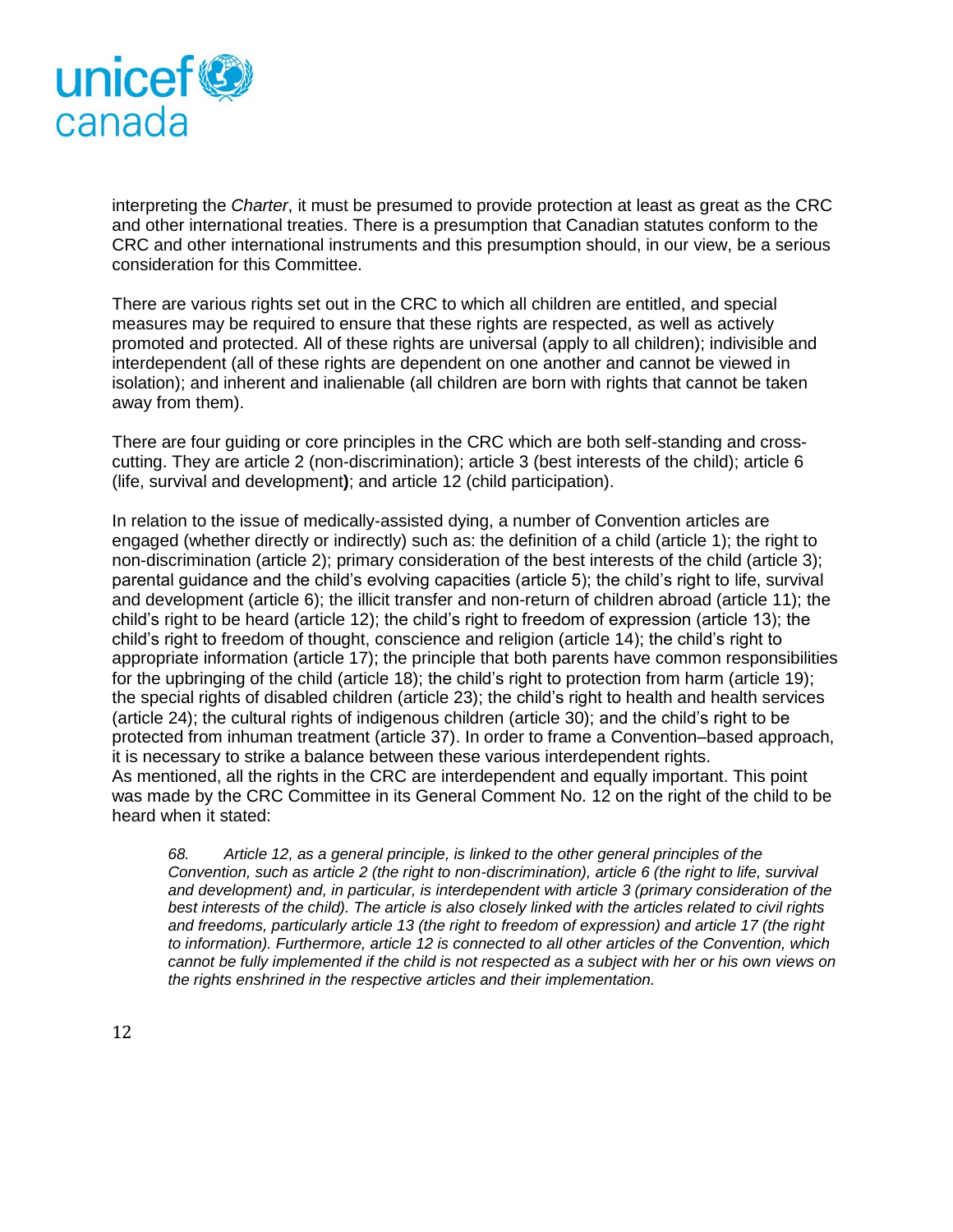

interpreting the *Charter*, it must be presumed to provide protection at least as great as the CRC and other international treaties. There is a presumption that Canadian statutes conform to the CRC and other international instruments and this presumption should, in our view, be a serious consideration for this Committee.

There are various rights set out in the CRC to which all children are entitled, and special measures may be required to ensure that these rights are respected, as well as actively promoted and protected. All of these rights are universal (apply to all children); indivisible and interdependent (all of these rights are dependent on one another and cannot be viewed in isolation); and inherent and inalienable (all children are born with rights that cannot be taken away from them).

There are four guiding or core principles in the CRC which are both self-standing and crosscutting. They are article 2 (non-discrimination); article 3 (best interests of the child); article 6 (life, survival and development**)**; and article 12 (child participation).

In relation to the issue of medically-assisted dying, a number of Convention articles are engaged (whether directly or indirectly) such as: the definition of a child (article 1); the right to non-discrimination (article 2); primary consideration of the best interests of the child (article 3); parental guidance and the child's evolving capacities (article 5); the child's right to life, survival and development (article 6); the illicit transfer and non-return of children abroad (article 11); the child's right to be heard (article 12); the child's right to freedom of expression (article 13); the child's right to freedom of thought, conscience and religion (article 14); the child's right to appropriate information (article 17); the principle that both parents have common responsibilities for the upbringing of the child (article 18); the child's right to protection from harm (article 19); the special rights of disabled children (article 23); the child's right to health and health services (article 24); the cultural rights of indigenous children (article 30); and the child's right to be protected from inhuman treatment (article 37). In order to frame a Convention–based approach, it is necessary to strike a balance between these various interdependent rights. As mentioned, all the rights in the CRC are interdependent and equally important. This point was made by the CRC Committee in its General Comment No. 12 on the right of the child to be heard when it stated:

*68. Article 12, as a general principle, is linked to the other general principles of the Convention, such as article 2 (the right to non-discrimination), article 6 (the right to life, survival and development) and, in particular, is interdependent with article 3 (primary consideration of the best interests of the child). The article is also closely linked with the articles related to civil rights and freedoms, particularly article 13 (the right to freedom of expression) and article 17 (the right to information). Furthermore, article 12 is connected to all other articles of the Convention, which cannot be fully implemented if the child is not respected as a subject with her or his own views on the rights enshrined in the respective articles and their implementation.*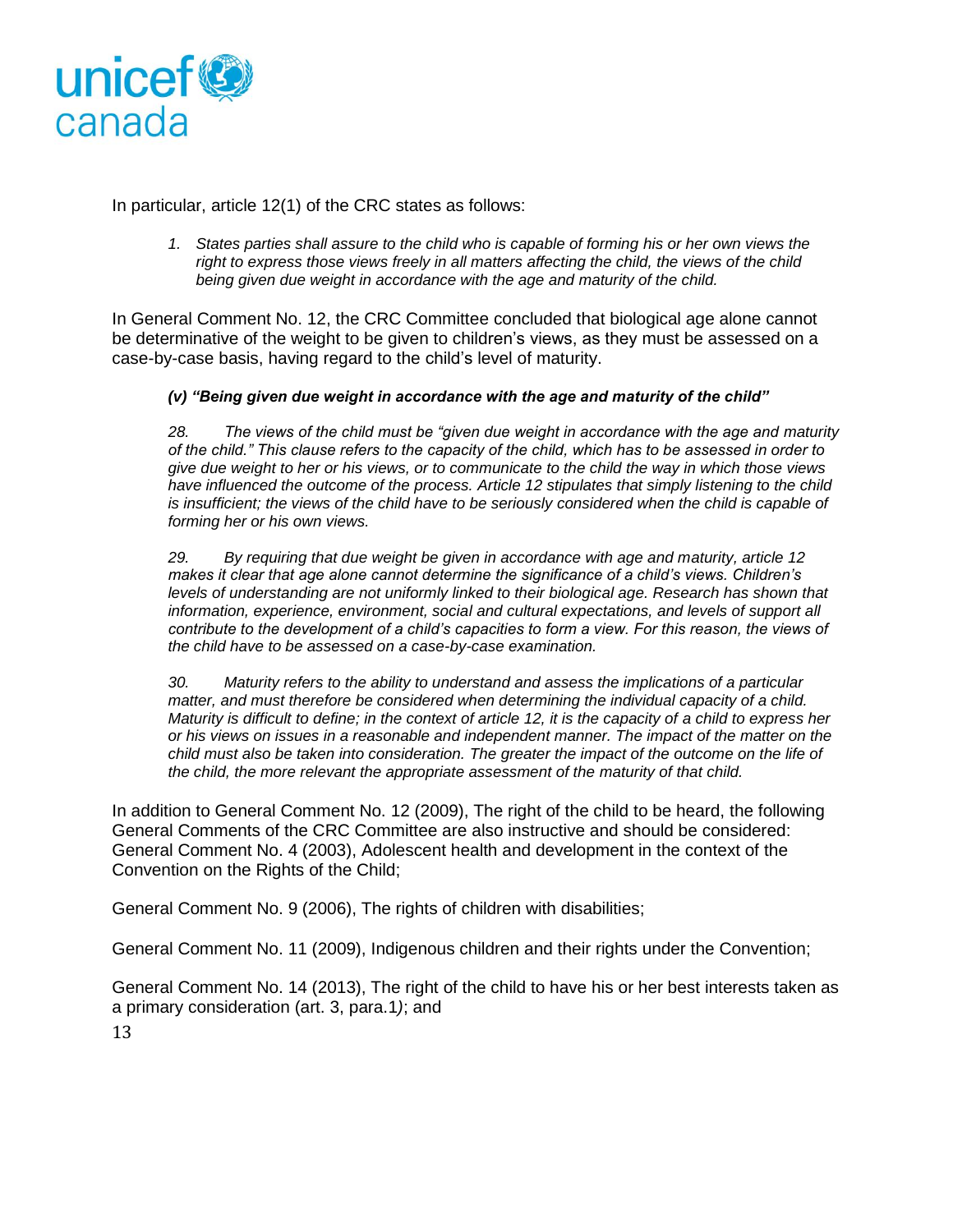

In particular, article 12(1) of the CRC states as follows:

*1. States parties shall assure to the child who is capable of forming his or her own views the right to express those views freely in all matters affecting the child, the views of the child being given due weight in accordance with the age and maturity of the child.* 

In General Comment No. 12, the CRC Committee concluded that biological age alone cannot be determinative of the weight to be given to children's views, as they must be assessed on a case-by-case basis, having regard to the child's level of maturity.

#### *(v) "Being given due weight in accordance with the age and maturity of the child"*

*28. The views of the child must be "given due weight in accordance with the age and maturity of the child." This clause refers to the capacity of the child, which has to be assessed in order to give due weight to her or his views, or to communicate to the child the way in which those views have influenced the outcome of the process. Article 12 stipulates that simply listening to the child is insufficient; the views of the child have to be seriously considered when the child is capable of forming her or his own views.*

*29. By requiring that due weight be given in accordance with age and maturity, article 12 makes it clear that age alone cannot determine the significance of a child's views. Children's levels of understanding are not uniformly linked to their biological age. Research has shown that* information, experience, environment, social and cultural expectations, and levels of support all *contribute to the development of a child's capacities to form a view. For this reason, the views of the child have to be assessed on a case-by-case examination.*

*30. Maturity refers to the ability to understand and assess the implications of a particular matter, and must therefore be considered when determining the individual capacity of a child. Maturity is difficult to define; in the context of article 12, it is the capacity of a child to express her or his views on issues in a reasonable and independent manner. The impact of the matter on the child must also be taken into consideration. The greater the impact of the outcome on the life of the child, the more relevant the appropriate assessment of the maturity of that child.*

In addition to General Comment No. 12 (2009), The right of the child to be heard, the following General Comments of the CRC Committee are also instructive and should be considered: General Comment No. 4 (2003), Adolescent health and development in the context of the Convention on the Rights of the Child;

General Comment No. 9 (2006), The rights of children with disabilities;

General Comment No. 11 (2009), Indigenous children and their rights under the Convention;

13 General Comment No. 14 (2013), The right of the child to have his or her best interests taken as a primary consideration (art. 3, para.1*)*; and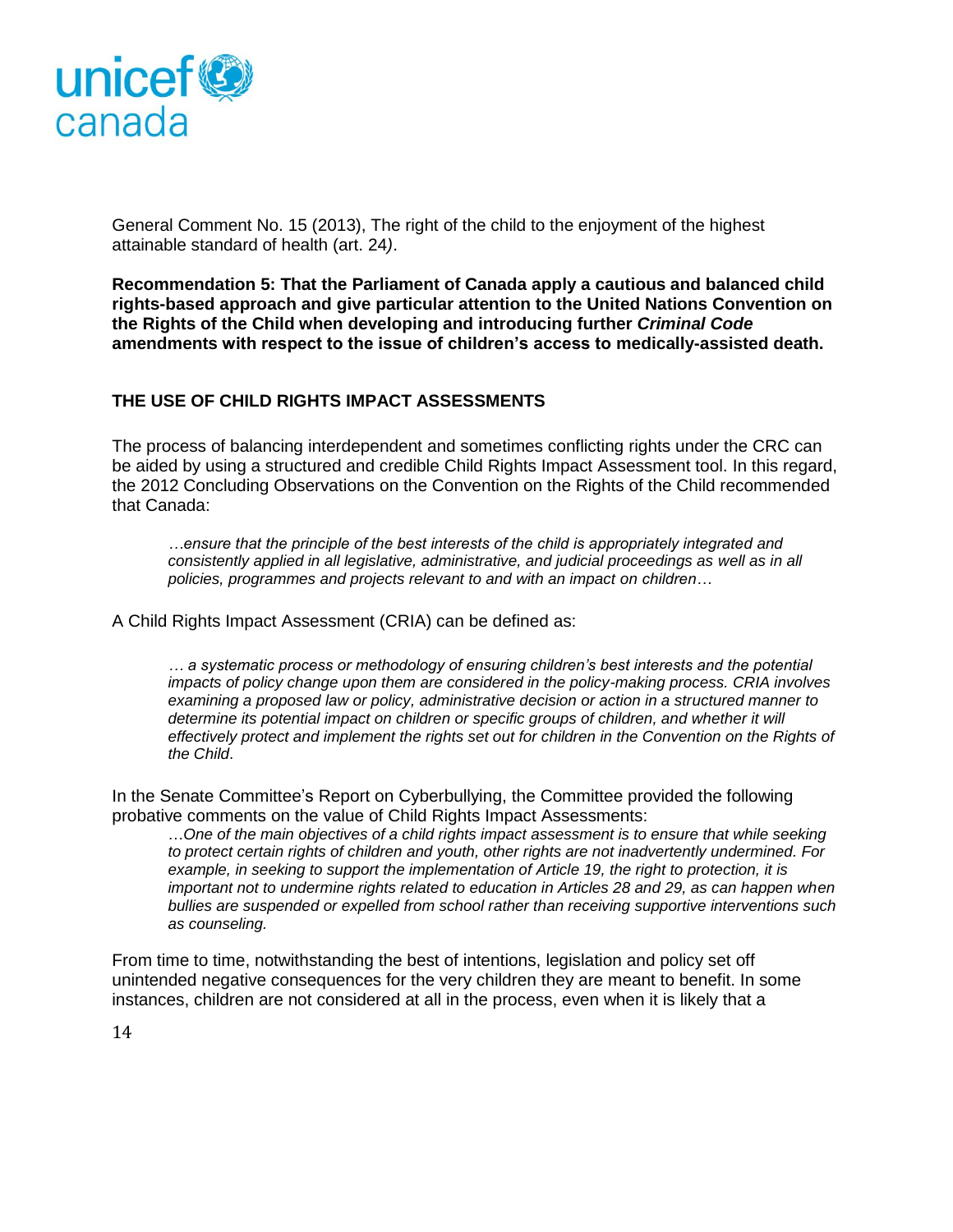

General Comment No. 15 (2013), The right of the child to the enjoyment of the highest attainable standard of health (art. 24*)*.

**Recommendation 5: That the Parliament of Canada apply a cautious and balanced child rights-based approach and give particular attention to the United Nations Convention on the Rights of the Child when developing and introducing further** *Criminal Code* **amendments with respect to the issue of children's access to medically-assisted death.**

## **THE USE OF CHILD RIGHTS IMPACT ASSESSMENTS**

The process of balancing interdependent and sometimes conflicting rights under the CRC can be aided by using a structured and credible Child Rights Impact Assessment tool. In this regard, the 2012 Concluding Observations on the Convention on the Rights of the Child recommended that Canada:

*…ensure that the principle of the best interests of the child is appropriately integrated and consistently applied in all legislative, administrative, and judicial proceedings as well as in all policies, programmes and projects relevant to and with an impact on children…*

A Child Rights Impact Assessment (CRIA) can be defined as:

*… a systematic process or methodology of ensuring children's best interests and the potential impacts of policy change upon them are considered in the policy-making process. CRIA involves examining a proposed law or policy, administrative decision or action in a structured manner to determine its potential impact on children or specific groups of children, and whether it will effectively protect and implement the rights set out for children in the Convention on the Rights of the Child*.

In the Senate Committee's Report on Cyberbullying, the Committee provided the following probative comments on the value of Child Rights Impact Assessments:

…*One of the main objectives of a child rights impact assessment is to ensure that while seeking to protect certain rights of children and youth, other rights are not inadvertently undermined. For example, in seeking to support the implementation of Article 19, the right to protection, it is important not to undermine rights related to education in Articles 28 and 29, as can happen when bullies are suspended or expelled from school rather than receiving supportive interventions such as counseling.*

From time to time, notwithstanding the best of intentions, legislation and policy set off unintended negative consequences for the very children they are meant to benefit. In some instances, children are not considered at all in the process, even when it is likely that a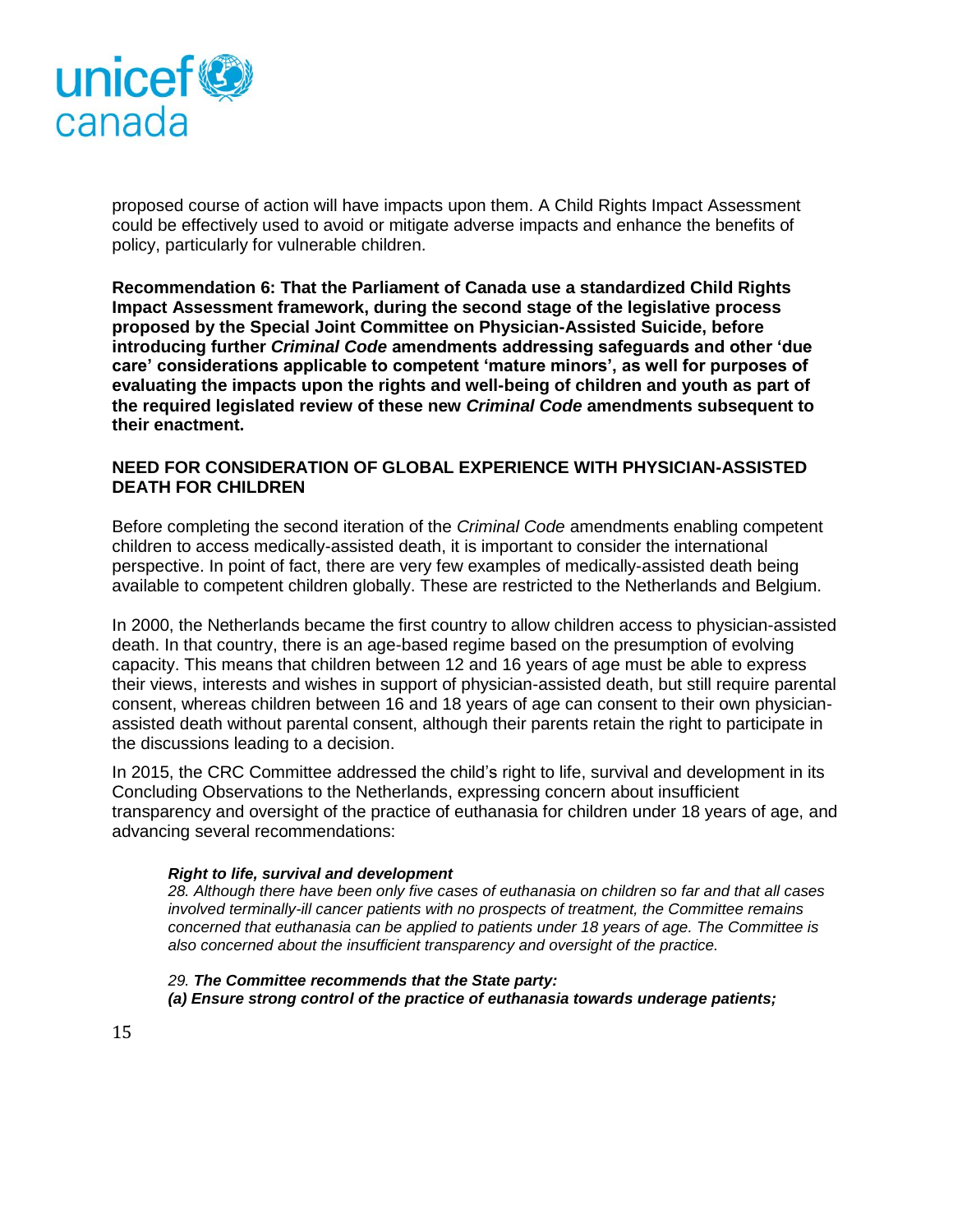

proposed course of action will have impacts upon them. A Child Rights Impact Assessment could be effectively used to avoid or mitigate adverse impacts and enhance the benefits of policy, particularly for vulnerable children.

**Recommendation 6: That the Parliament of Canada use a standardized Child Rights Impact Assessment framework, during the second stage of the legislative process proposed by the Special Joint Committee on Physician-Assisted Suicide, before introducing further** *Criminal Code* **amendments addressing safeguards and other 'due care' considerations applicable to competent 'mature minors', as well for purposes of evaluating the impacts upon the rights and well-being of children and youth as part of the required legislated review of these new** *Criminal Code* **amendments subsequent to their enactment.**

### **NEED FOR CONSIDERATION OF GLOBAL EXPERIENCE WITH PHYSICIAN-ASSISTED DEATH FOR CHILDREN**

Before completing the second iteration of the *Criminal Code* amendments enabling competent children to access medically-assisted death, it is important to consider the international perspective. In point of fact, there are very few examples of medically-assisted death being available to competent children globally. These are restricted to the Netherlands and Belgium.

In 2000, the Netherlands became the first country to allow children access to physician-assisted death. In that country, there is an age-based regime based on the presumption of evolving capacity. This means that children between 12 and 16 years of age must be able to express their views, interests and wishes in support of physician-assisted death, but still require parental consent, whereas children between 16 and 18 years of age can consent to their own physicianassisted death without parental consent, although their parents retain the right to participate in the discussions leading to a decision.

In 2015, the CRC Committee addressed the child's right to life, survival and development in its Concluding Observations to the Netherlands, expressing concern about insufficient transparency and oversight of the practice of euthanasia for children under 18 years of age, and advancing several recommendations:

#### *Right to life, survival and development*

*28. Although there have been only five cases of euthanasia on children so far and that all cases involved terminally-ill cancer patients with no prospects of treatment, the Committee remains concerned that euthanasia can be applied to patients under 18 years of age. The Committee is also concerned about the insufficient transparency and oversight of the practice.*

*29. The Committee recommends that the State party:* 

*(a) Ensure strong control of the practice of euthanasia towards underage patients;*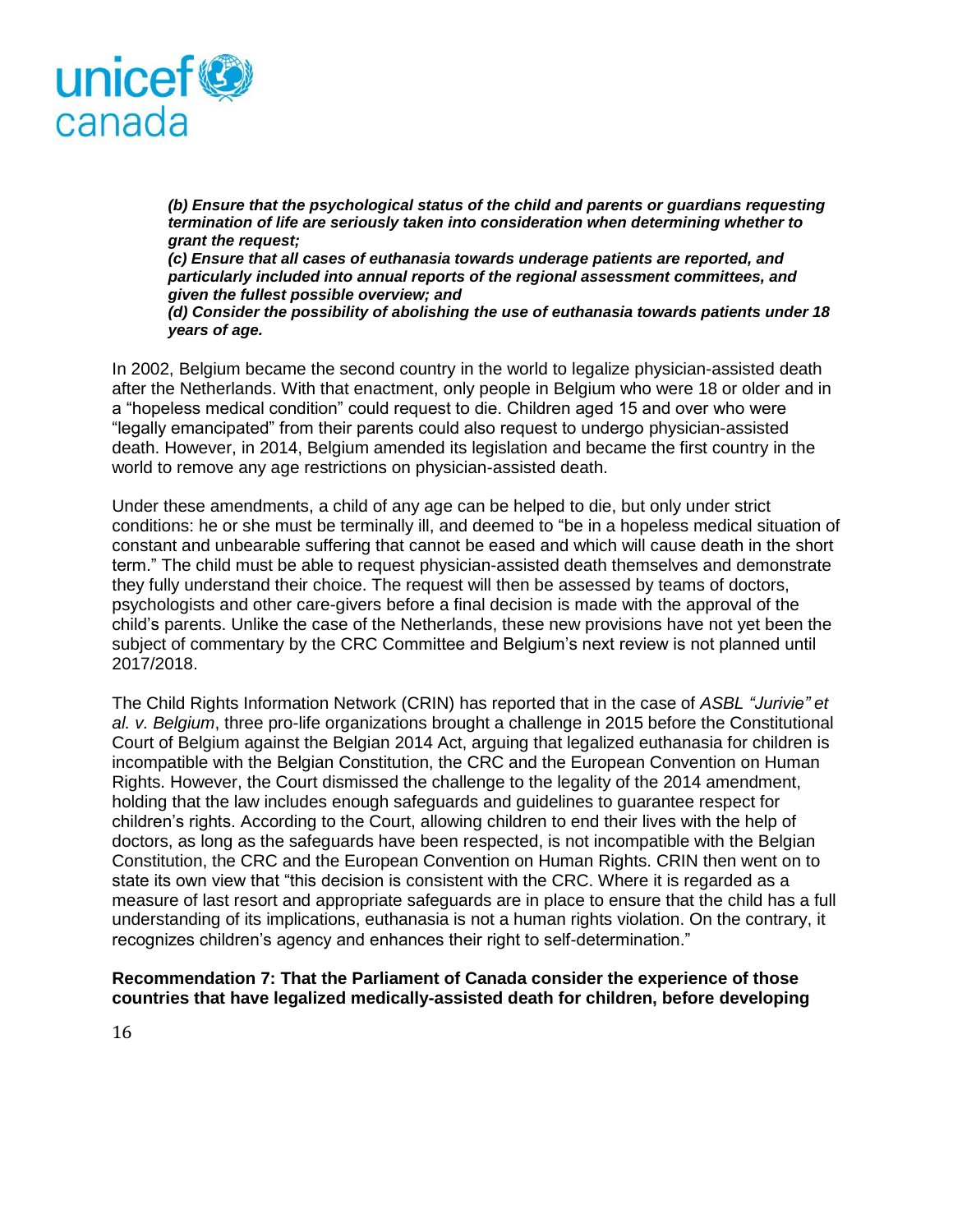

*(b) Ensure that the psychological status of the child and parents or guardians requesting termination of life are seriously taken into consideration when determining whether to grant the request;* 

*(c) Ensure that all cases of euthanasia towards underage patients are reported, and particularly included into annual reports of the regional assessment committees, and given the fullest possible overview; and* 

*(d) Consider the possibility of abolishing the use of euthanasia towards patients under 18 years of age.*

In 2002, Belgium became the second country in the world to legalize physician-assisted death after the Netherlands. With that enactment, only people in Belgium who were 18 or older and in a "hopeless medical condition" could request to die. Children aged 15 and over who were "legally emancipated" from their parents could also request to undergo physician-assisted death. However, in 2014, Belgium amended its legislation and became the first country in the world to remove any age restrictions on physician-assisted death.

Under these amendments, a child of any age can be helped to die, but only under strict conditions: he or she must be terminally ill, and deemed to "be in a hopeless medical situation of constant and unbearable suffering that cannot be eased and which will cause death in the short term." The child must be able to request physician-assisted death themselves and demonstrate they fully understand their choice. The request will then be assessed by teams of doctors, psychologists and other care-givers before a final decision is made with the approval of the child's parents. Unlike the case of the Netherlands, these new provisions have not yet been the subject of commentary by the CRC Committee and Belgium's next review is not planned until 2017/2018.

The Child Rights Information Network (CRIN) has reported that in the case of *ASBL "Jurivie" et al. v. Belgium*, three pro-life organizations brought a challenge in 2015 before the Constitutional Court of Belgium against the Belgian 2014 Act, arguing that legalized euthanasia for children is incompatible with the Belgian Constitution, the CRC and the European Convention on Human Rights. However, the Court dismissed the challenge to the legality of the 2014 amendment, holding that the law includes enough safeguards and guidelines to guarantee respect for children's rights. According to the Court, allowing children to end their lives with the help of doctors, as long as the safeguards have been respected, is not incompatible with the Belgian Constitution, the CRC and the European Convention on Human Rights. CRIN then went on to state its own view that "this decision is consistent with the CRC. Where it is regarded as a measure of last resort and appropriate safeguards are in place to ensure that the child has a full understanding of its implications, euthanasia is not a human rights violation. On the contrary, it recognizes children's agency and enhances their right to self-determination."

### **Recommendation 7: That the Parliament of Canada consider the experience of those countries that have legalized medically-assisted death for children, before developing**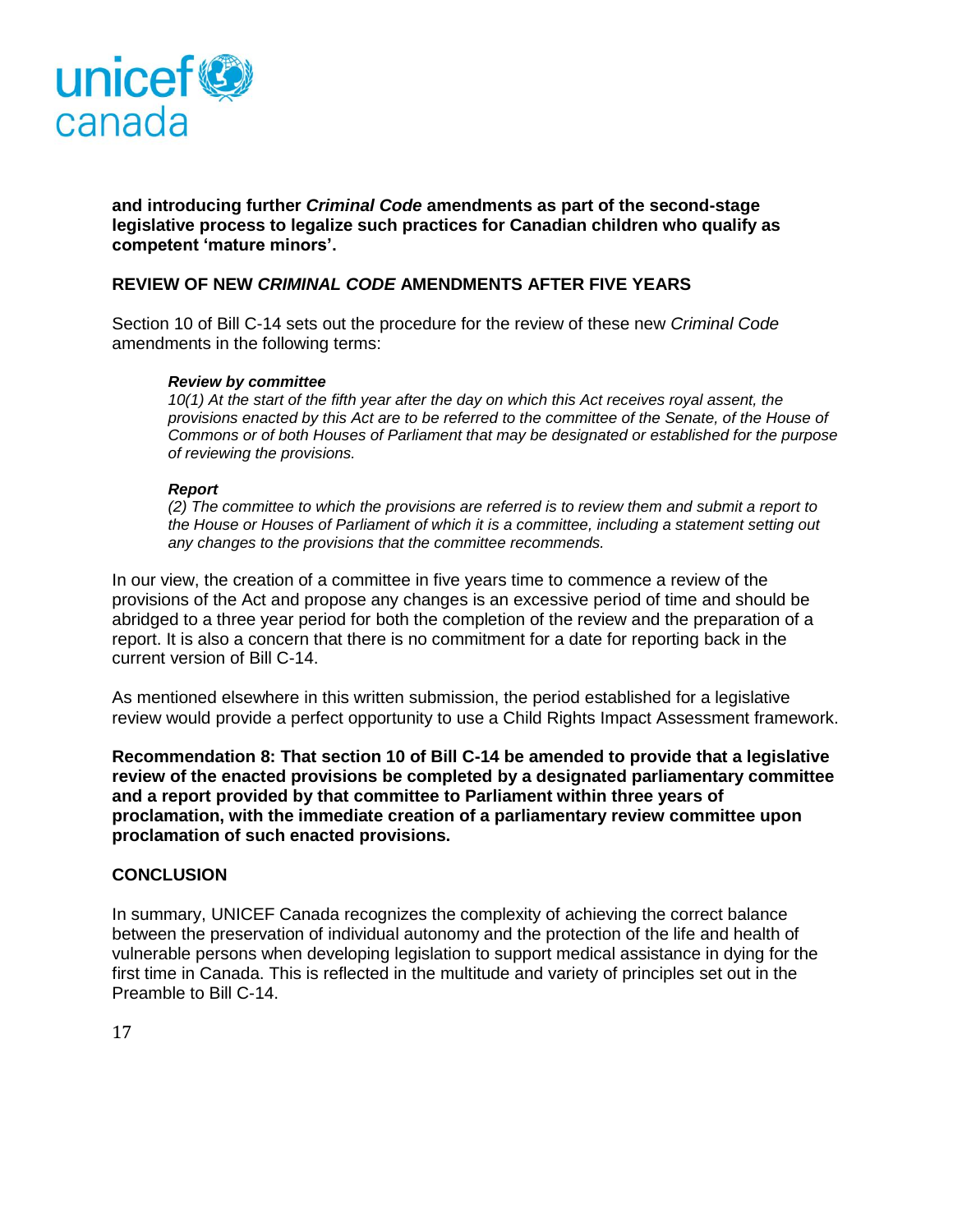

**and introducing further** *Criminal Code* **amendments as part of the second-stage legislative process to legalize such practices for Canadian children who qualify as competent 'mature minors'.**

### **REVIEW OF NEW** *CRIMINAL CODE* **AMENDMENTS AFTER FIVE YEARS**

Section 10 of Bill C-14 sets out the procedure for the review of these new *Criminal Code* amendments in the following terms:

#### *Review by committee*

*10(1) At the start of the fifth year after the day on which this Act receives royal assent, the*  provisions enacted by this Act are to be referred to the committee of the Senate, of the House of *Commons or of both Houses of Parliament that may be designated or established for the purpose of reviewing the provisions.* 

#### *Report*

*(2) The committee to which the provisions are referred is to review them and submit a report to the House or Houses of Parliament of which it is a committee, including a statement setting out any changes to the provisions that the committee recommends.*

In our view, the creation of a committee in five years time to commence a review of the provisions of the Act and propose any changes is an excessive period of time and should be abridged to a three year period for both the completion of the review and the preparation of a report. It is also a concern that there is no commitment for a date for reporting back in the current version of Bill C-14.

As mentioned elsewhere in this written submission, the period established for a legislative review would provide a perfect opportunity to use a Child Rights Impact Assessment framework.

**Recommendation 8: That section 10 of Bill C-14 be amended to provide that a legislative review of the enacted provisions be completed by a designated parliamentary committee and a report provided by that committee to Parliament within three years of proclamation, with the immediate creation of a parliamentary review committee upon proclamation of such enacted provisions.**

#### **CONCLUSION**

In summary, UNICEF Canada recognizes the complexity of achieving the correct balance between the preservation of individual autonomy and the protection of the life and health of vulnerable persons when developing legislation to support medical assistance in dying for the first time in Canada. This is reflected in the multitude and variety of principles set out in the Preamble to Bill C-14.

17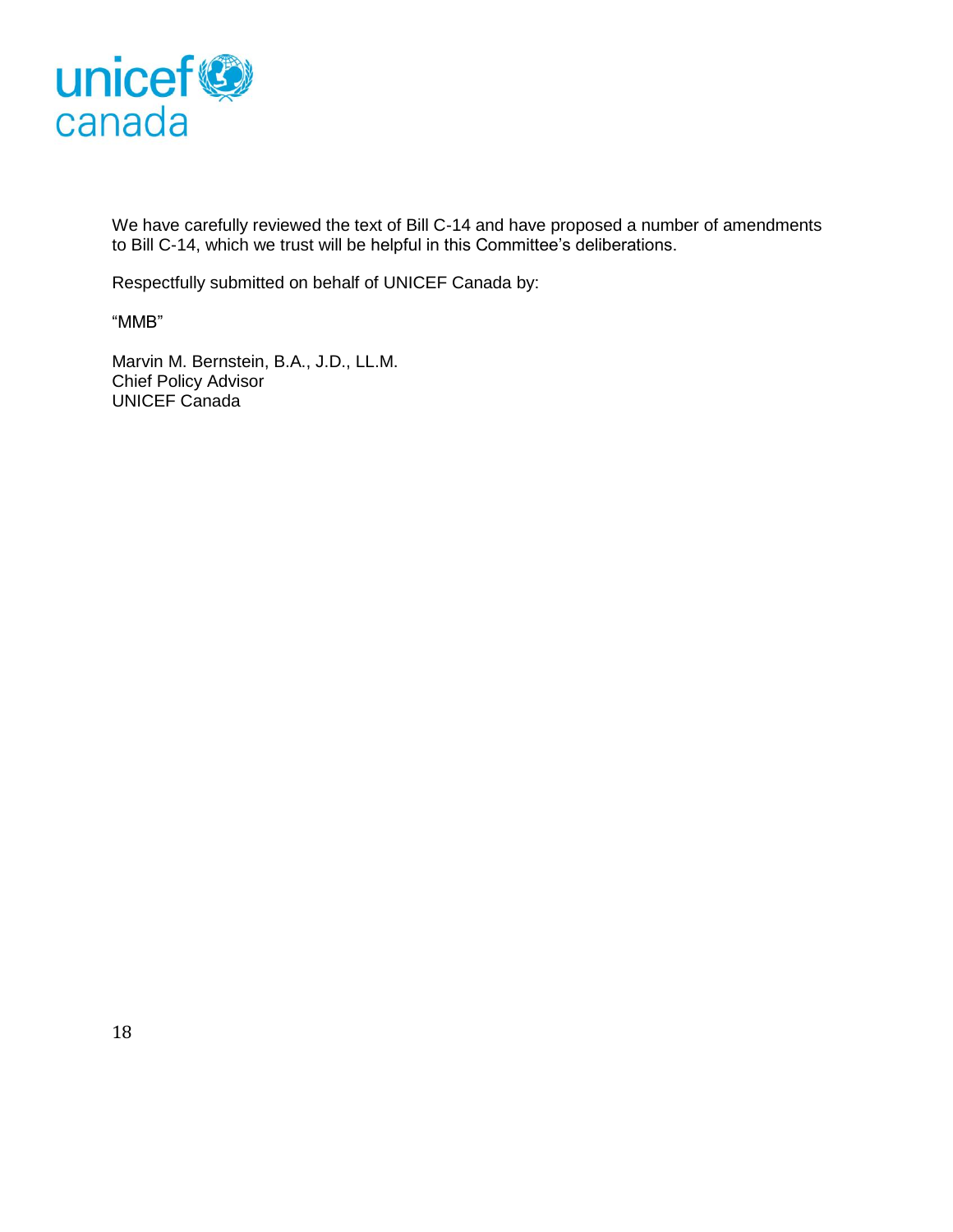

We have carefully reviewed the text of Bill C-14 and have proposed a number of amendments to Bill C-14, which we trust will be helpful in this Committee's deliberations.

Respectfully submitted on behalf of UNICEF Canada by:

"MMB"

Marvin M. Bernstein, B.A., J.D., LL.M. Chief Policy Advisor UNICEF Canada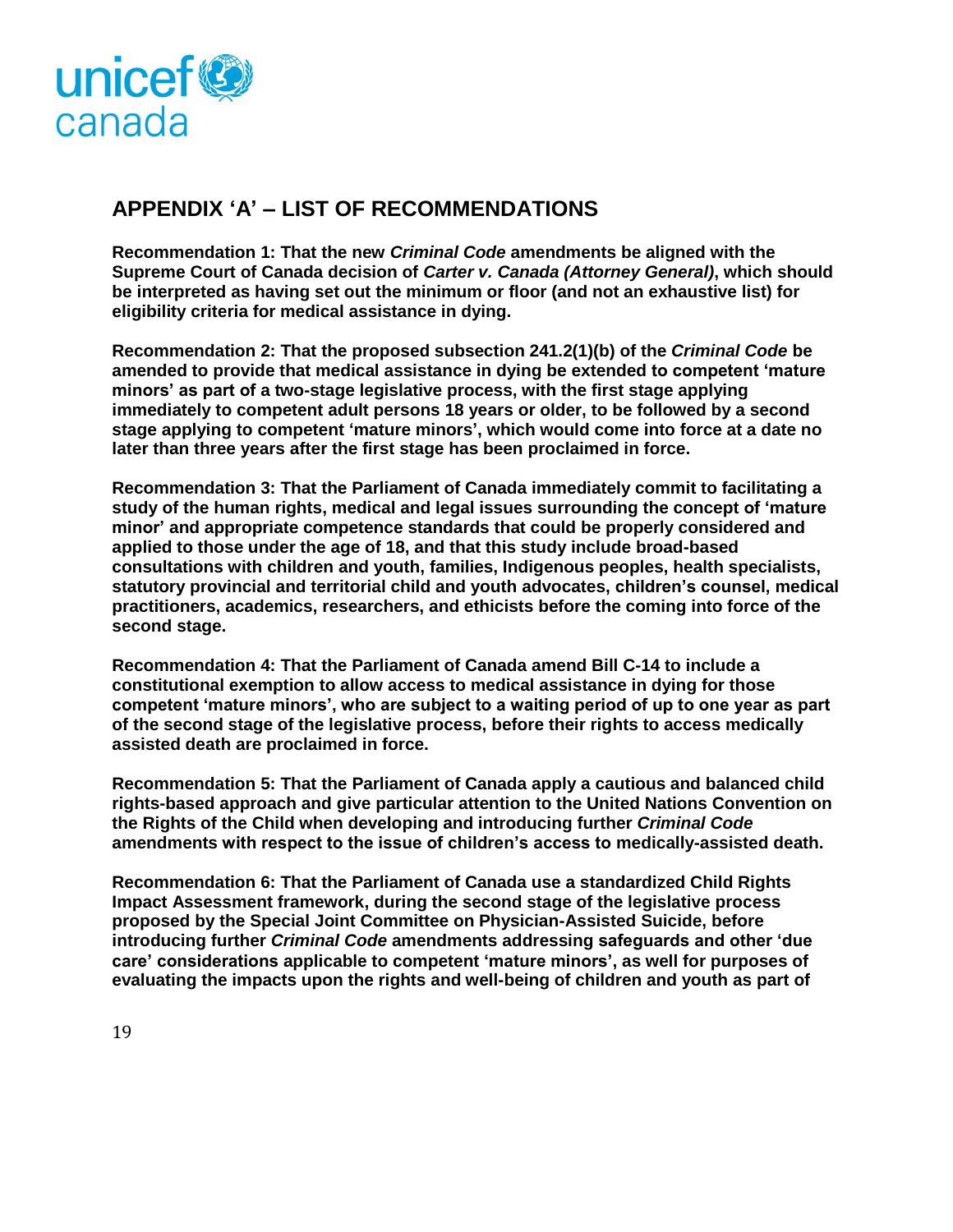

# **APPENDIX 'A' – LIST OF RECOMMENDATIONS**

**Recommendation 1: That the new** *Criminal Code* **amendments be aligned with the Supreme Court of Canada decision of** *Carter v. Canada (Attorney General)***, which should be interpreted as having set out the minimum or floor (and not an exhaustive list) for eligibility criteria for medical assistance in dying.** 

**Recommendation 2: That the proposed subsection 241.2(1)(b) of the** *Criminal Code* **be amended to provide that medical assistance in dying be extended to competent 'mature minors' as part of a two-stage legislative process, with the first stage applying immediately to competent adult persons 18 years or older, to be followed by a second stage applying to competent 'mature minors', which would come into force at a date no later than three years after the first stage has been proclaimed in force.**

**Recommendation 3: That the Parliament of Canada immediately commit to facilitating a study of the human rights, medical and legal issues surrounding the concept of 'mature minor' and appropriate competence standards that could be properly considered and applied to those under the age of 18, and that this study include broad-based consultations with children and youth, families, Indigenous peoples, health specialists, statutory provincial and territorial child and youth advocates, children's counsel, medical practitioners, academics, researchers, and ethicists before the coming into force of the second stage.**

**Recommendation 4: That the Parliament of Canada amend Bill C-14 to include a constitutional exemption to allow access to medical assistance in dying for those competent 'mature minors', who are subject to a waiting period of up to one year as part of the second stage of the legislative process, before their rights to access medically assisted death are proclaimed in force.**

**Recommendation 5: That the Parliament of Canada apply a cautious and balanced child rights-based approach and give particular attention to the United Nations Convention on the Rights of the Child when developing and introducing further** *Criminal Code* **amendments with respect to the issue of children's access to medically-assisted death.**

**Recommendation 6: That the Parliament of Canada use a standardized Child Rights Impact Assessment framework, during the second stage of the legislative process proposed by the Special Joint Committee on Physician-Assisted Suicide, before introducing further** *Criminal Code* **amendments addressing safeguards and other 'due care' considerations applicable to competent 'mature minors', as well for purposes of evaluating the impacts upon the rights and well-being of children and youth as part of**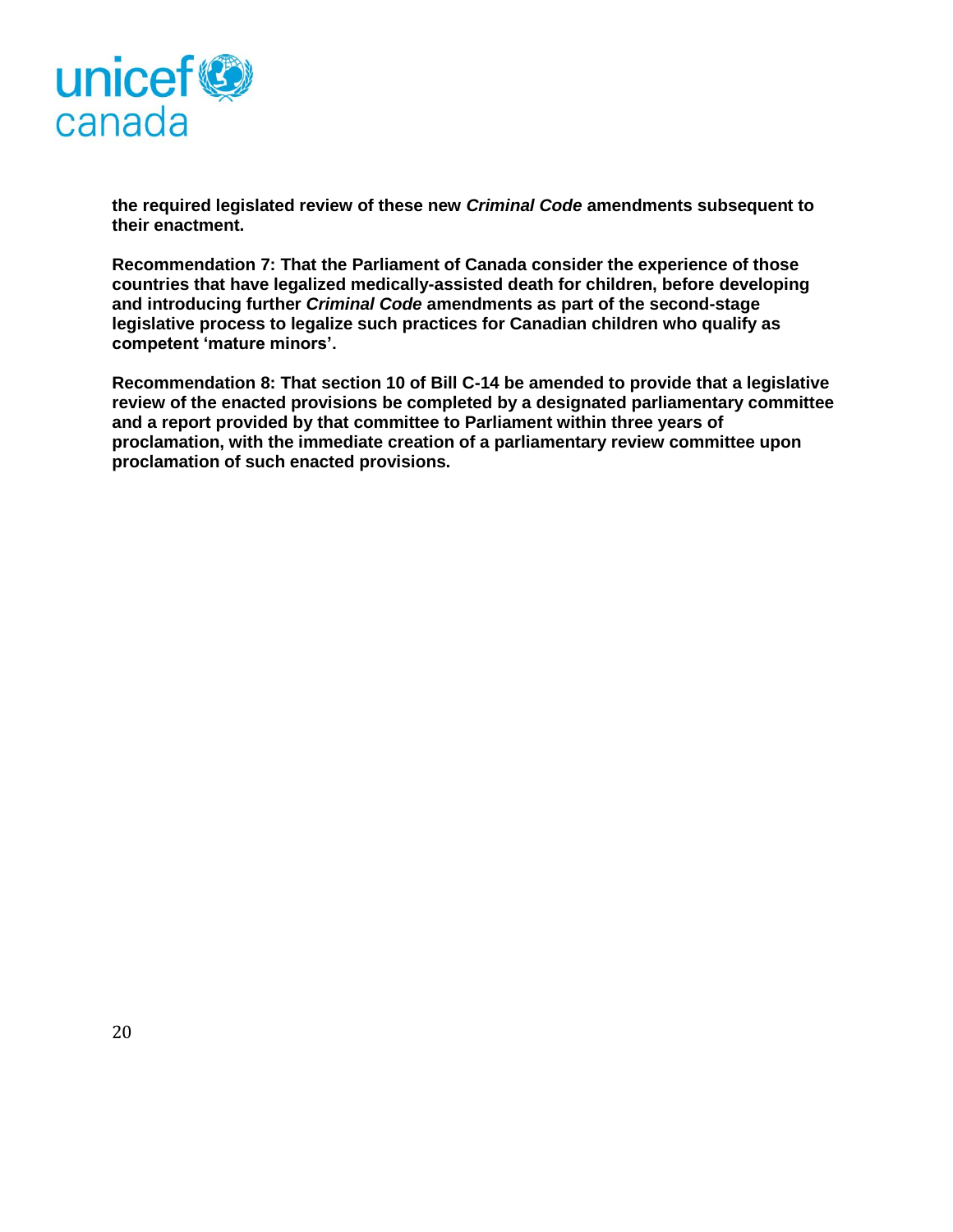

**the required legislated review of these new** *Criminal Code* **amendments subsequent to their enactment.**

**Recommendation 7: That the Parliament of Canada consider the experience of those countries that have legalized medically-assisted death for children, before developing and introducing further** *Criminal Code* **amendments as part of the second-stage legislative process to legalize such practices for Canadian children who qualify as competent 'mature minors'.**

**Recommendation 8: That section 10 of Bill C-14 be amended to provide that a legislative review of the enacted provisions be completed by a designated parliamentary committee and a report provided by that committee to Parliament within three years of proclamation, with the immediate creation of a parliamentary review committee upon proclamation of such enacted provisions.**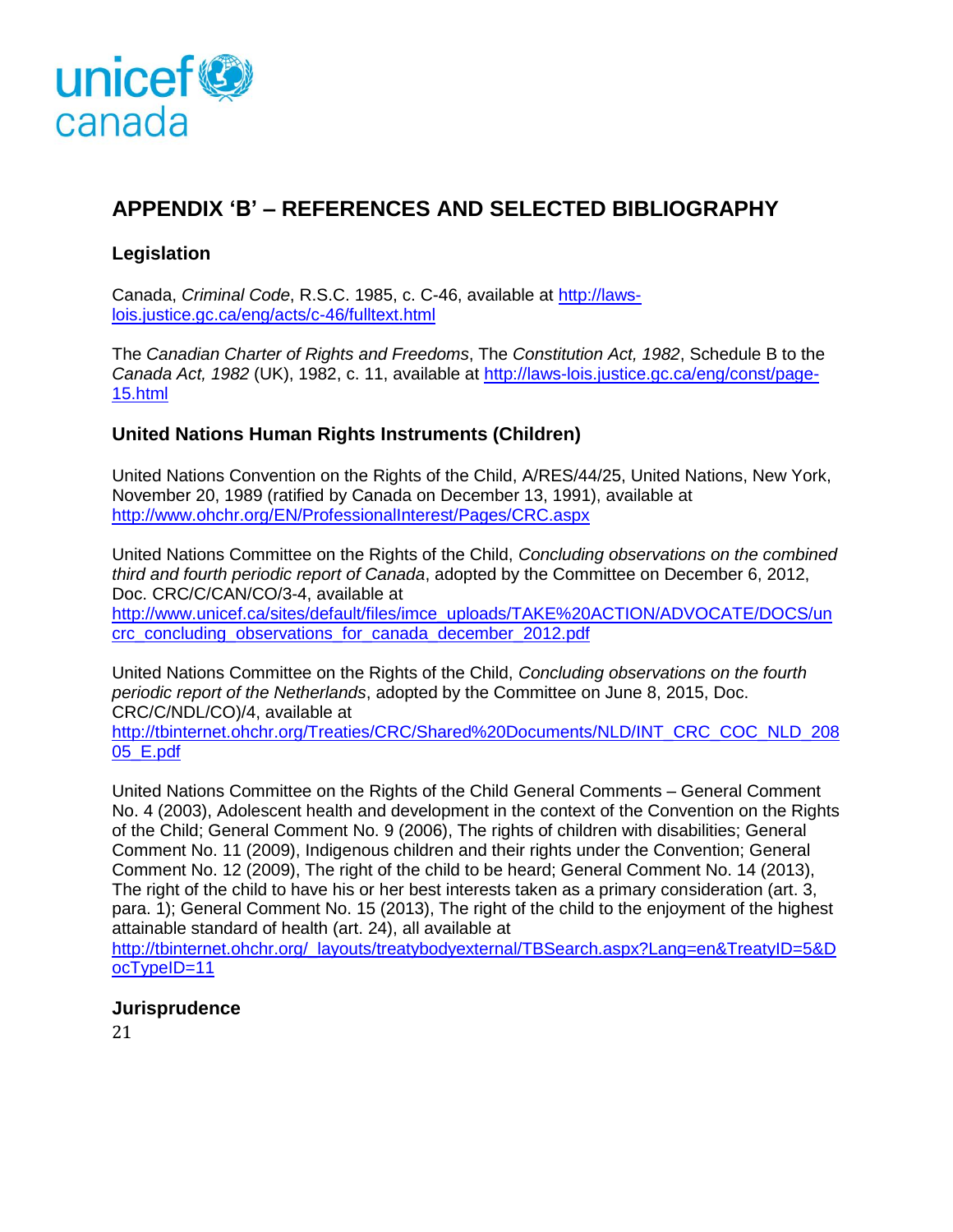

# **APPENDIX 'B' – REFERENCES AND SELECTED BIBLIOGRAPHY**

## **Legislation**

Canada, *Criminal Code*, R.S.C. 1985, c. C-46, available at [http://laws](http://laws-lois.justice.gc.ca/eng/acts/c-46/fulltext.html)[lois.justice.gc.ca/eng/acts/c-46/fulltext.html](http://laws-lois.justice.gc.ca/eng/acts/c-46/fulltext.html)

The *Canadian Charter of Rights and Freedoms*, The *Constitution Act, 1982*, Schedule B to the *Canada Act, 1982* (UK), 1982, c. 11, available at [http://laws-lois.justice.gc.ca/eng/const/page-](http://laws-lois.justice.gc.ca/eng/const/page-15.html)[15.html](http://laws-lois.justice.gc.ca/eng/const/page-15.html)

# **United Nations Human Rights Instruments (Children)**

United Nations Convention on the Rights of the Child, A/RES/44/25, United Nations, New York, November 20, 1989 (ratified by Canada on December 13, 1991), available at <http://www.ohchr.org/EN/ProfessionalInterest/Pages/CRC.aspx>

United Nations Committee on the Rights of the Child, *Concluding observations on the combined third and fourth periodic report of Canada*, adopted by the Committee on December 6, 2012, Doc. CRC/C/CAN/CO/3-4, available at [http://www.unicef.ca/sites/default/files/imce\\_uploads/TAKE%20ACTION/ADVOCATE/DOCS/un](http://www.unicef.ca/sites/default/files/imce_uploads/TAKE%20ACTION/ADVOCATE/DOCS/uncrc_concluding_observations_for_canada_december_2012.pdf) [crc\\_concluding\\_observations\\_for\\_canada\\_december\\_2012.pdf](http://www.unicef.ca/sites/default/files/imce_uploads/TAKE%20ACTION/ADVOCATE/DOCS/uncrc_concluding_observations_for_canada_december_2012.pdf)

United Nations Committee on the Rights of the Child, *Concluding observations on the fourth periodic report of the Netherlands*, adopted by the Committee on June 8, 2015, Doc. CRC/C/NDL/CO)/4, available at [http://tbinternet.ohchr.org/Treaties/CRC/Shared%20Documents/NLD/INT\\_CRC\\_COC\\_NLD\\_208](http://tbinternet.ohchr.org/Treaties/CRC/Shared%20Documents/NLD/INT_CRC_COC_NLD_20805_E.pdf) [05\\_E.pdf](http://tbinternet.ohchr.org/Treaties/CRC/Shared%20Documents/NLD/INT_CRC_COC_NLD_20805_E.pdf)

United Nations Committee on the Rights of the Child General Comments – General Comment No. 4 (2003), Adolescent health and development in the context of the Convention on the Rights of the Child; General Comment No. 9 (2006), The rights of children with disabilities; General Comment No. 11 (2009), Indigenous children and their rights under the Convention; General Comment No. 12 (2009), The right of the child to be heard; General Comment No. 14 (2013), The right of the child to have his or her best interests taken as a primary consideration (art. 3, para. 1); General Comment No. 15 (2013), The right of the child to the enjoyment of the highest attainable standard of health (art. 24), all available at

[http://tbinternet.ohchr.org/\\_layouts/treatybodyexternal/TBSearch.aspx?Lang=en&TreatyID=5&D](http://tbinternet.ohchr.org/_layouts/treatybodyexternal/TBSearch.aspx?Lang=en&TreatyID=5&DocTypeID=11) [ocTypeID=11](http://tbinternet.ohchr.org/_layouts/treatybodyexternal/TBSearch.aspx?Lang=en&TreatyID=5&DocTypeID=11)

**Jurisprudence**

21